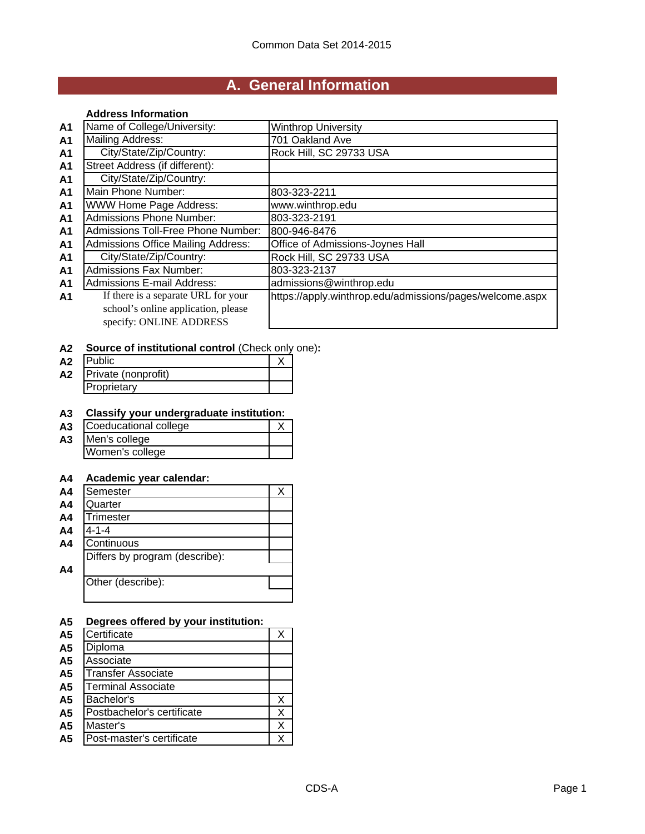# **A. General Information**

### **Address Information**

| A <sub>1</sub> | Name of College/University:               | <b>Winthrop University</b>                               |
|----------------|-------------------------------------------|----------------------------------------------------------|
| A <sub>1</sub> | <b>Mailing Address:</b>                   | 701 Oakland Ave                                          |
| A <sub>1</sub> | City/State/Zip/Country:                   | Rock Hill, SC 29733 USA                                  |
| A <sub>1</sub> | Street Address (if different):            |                                                          |
| A <sub>1</sub> | City/State/Zip/Country:                   |                                                          |
| A <sub>1</sub> | Main Phone Number:                        | 803-323-2211                                             |
| A <sub>1</sub> | <b>WWW Home Page Address:</b>             | www.winthrop.edu                                         |
| A <sub>1</sub> | <b>Admissions Phone Number:</b>           | 803-323-2191                                             |
| A <sub>1</sub> | Admissions Toll-Free Phone Number:        | 800-946-8476                                             |
| A <sub>1</sub> | <b>Admissions Office Mailing Address:</b> | Office of Admissions-Joynes Hall                         |
| A <sub>1</sub> | City/State/Zip/Country:                   | Rock Hill, SC 29733 USA                                  |
| A <sub>1</sub> | <b>Admissions Fax Number:</b>             | 803-323-2137                                             |
| A <sub>1</sub> | <b>Admissions E-mail Address:</b>         | admissions@winthrop.edu                                  |
| A1             | If there is a separate URL for your       | https://apply.winthrop.edu/admissions/pages/welcome.aspx |
|                | school's online application, please       |                                                          |
|                | specify: ONLINE ADDRESS                   |                                                          |

## **A2 Source of institutional control** (Check only one)**:**

| A <sub>2</sub> | <b>Public</b>       |  |
|----------------|---------------------|--|
| A2             | Private (nonprofit) |  |
|                | Proprietary         |  |

## **A3 Classify your undergraduate institution:**

| A <sub>3</sub> | Coeducational college |  |  |  |
|----------------|-----------------------|--|--|--|
| A <sub>3</sub> | Men's college         |  |  |  |
|                | Women's college       |  |  |  |

## **A4 Academic year calendar:**

| A <sub>4</sub> | Semester                       |  |
|----------------|--------------------------------|--|
| A <sub>4</sub> | Quarter                        |  |
| A <sub>4</sub> | <b>Trimester</b>               |  |
| A <sub>4</sub> | $4 - 1 - 4$                    |  |
| A <sub>4</sub> | Continuous                     |  |
|                | Differs by program (describe): |  |
| A <sub>4</sub> |                                |  |
|                | Other (describe):              |  |
|                |                                |  |

## **A5 Degrees offered by your institution:**

| Certificate                |  |
|----------------------------|--|
| Diploma                    |  |
| Associate                  |  |
| <b>Transfer Associate</b>  |  |
| <b>Terminal Associate</b>  |  |
| Bachelor's                 |  |
| Postbachelor's certificate |  |
| Master's                   |  |
| Post-master's certificate  |  |
|                            |  |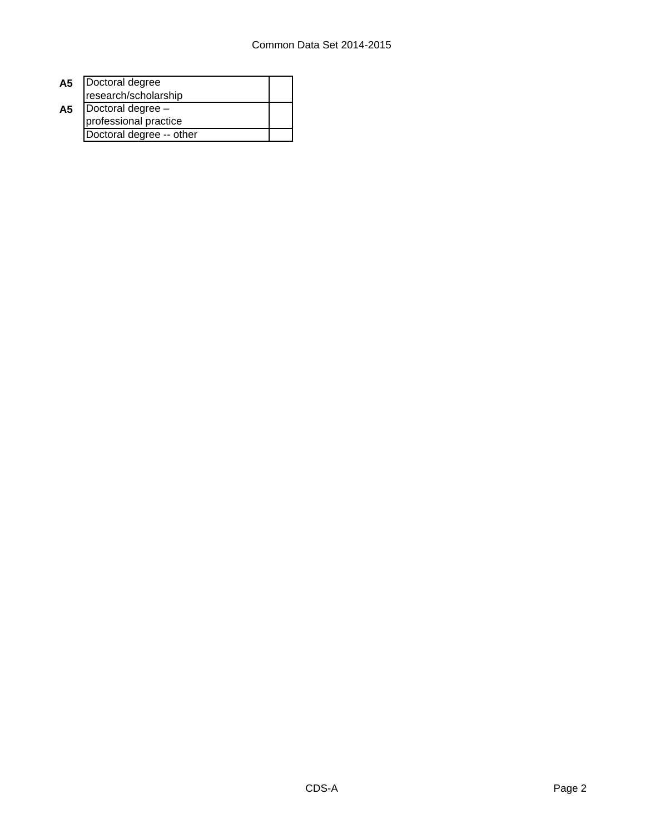| A5 | Doctoral degree          |  |  |
|----|--------------------------|--|--|
|    | research/scholarship     |  |  |
| A5 | Doctoral degree -        |  |  |
|    | professional practice    |  |  |
|    | Doctoral degree -- other |  |  |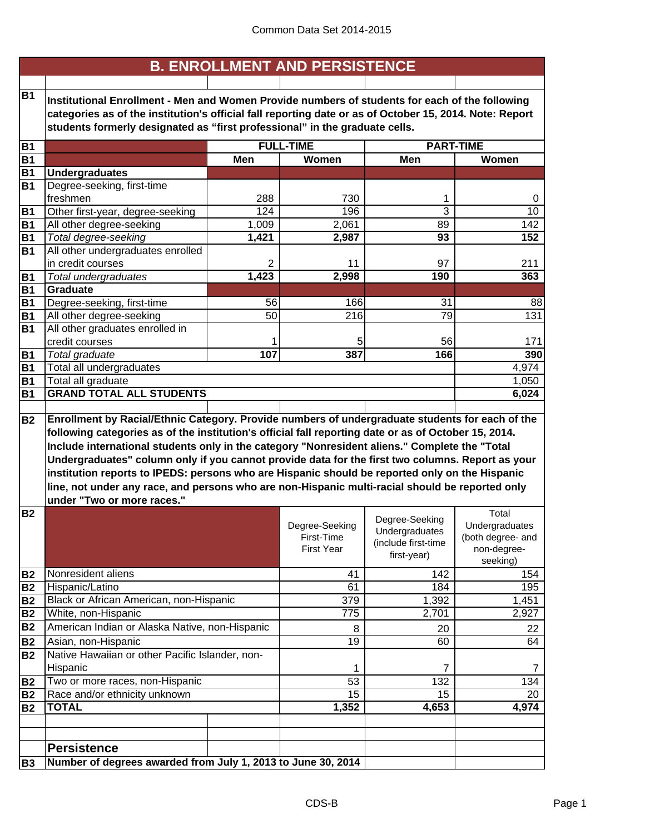|           |                                                                                                                                                                                                                                                                                                                                                                                                                                                                                                                                              |       | <b>B. ENROLLMENT AND PERSISTENCE</b>              |                                                                        |                                                                         |
|-----------|----------------------------------------------------------------------------------------------------------------------------------------------------------------------------------------------------------------------------------------------------------------------------------------------------------------------------------------------------------------------------------------------------------------------------------------------------------------------------------------------------------------------------------------------|-------|---------------------------------------------------|------------------------------------------------------------------------|-------------------------------------------------------------------------|
| <b>B1</b> |                                                                                                                                                                                                                                                                                                                                                                                                                                                                                                                                              |       |                                                   |                                                                        |                                                                         |
|           | Institutional Enrollment - Men and Women Provide numbers of students for each of the following                                                                                                                                                                                                                                                                                                                                                                                                                                               |       |                                                   |                                                                        |                                                                         |
|           | categories as of the institution's official fall reporting date or as of October 15, 2014. Note: Report<br>students formerly designated as "first professional" in the graduate cells.                                                                                                                                                                                                                                                                                                                                                       |       |                                                   |                                                                        |                                                                         |
|           |                                                                                                                                                                                                                                                                                                                                                                                                                                                                                                                                              |       |                                                   |                                                                        |                                                                         |
| <b>B1</b> |                                                                                                                                                                                                                                                                                                                                                                                                                                                                                                                                              |       | <b>FULL-TIME</b>                                  |                                                                        | <b>PART-TIME</b>                                                        |
| <b>B1</b> |                                                                                                                                                                                                                                                                                                                                                                                                                                                                                                                                              | Men   | Women                                             | Men                                                                    | Women                                                                   |
| <b>B1</b> | <b>Undergraduates</b>                                                                                                                                                                                                                                                                                                                                                                                                                                                                                                                        |       |                                                   |                                                                        |                                                                         |
| <b>B1</b> | Degree-seeking, first-time                                                                                                                                                                                                                                                                                                                                                                                                                                                                                                                   |       |                                                   |                                                                        |                                                                         |
|           | freshmen                                                                                                                                                                                                                                                                                                                                                                                                                                                                                                                                     | 288   | 730                                               | 1                                                                      | 0                                                                       |
| <b>B1</b> | Other first-year, degree-seeking                                                                                                                                                                                                                                                                                                                                                                                                                                                                                                             | 124   | 196                                               | 3                                                                      | 10                                                                      |
| <b>B1</b> | All other degree-seeking                                                                                                                                                                                                                                                                                                                                                                                                                                                                                                                     | 1,009 | 2,061                                             | 89                                                                     | 142                                                                     |
| <b>B1</b> | Total degree-seeking                                                                                                                                                                                                                                                                                                                                                                                                                                                                                                                         | 1,421 | 2,987                                             | 93                                                                     | 152                                                                     |
| <b>B1</b> | All other undergraduates enrolled                                                                                                                                                                                                                                                                                                                                                                                                                                                                                                            |       |                                                   |                                                                        |                                                                         |
|           | in credit courses                                                                                                                                                                                                                                                                                                                                                                                                                                                                                                                            | 2     | 11                                                | 97                                                                     | 211                                                                     |
| <b>B1</b> | Total undergraduates                                                                                                                                                                                                                                                                                                                                                                                                                                                                                                                         | 1,423 | 2,998                                             | 190                                                                    | 363                                                                     |
| <b>B1</b> | <b>Graduate</b>                                                                                                                                                                                                                                                                                                                                                                                                                                                                                                                              |       |                                                   |                                                                        |                                                                         |
| <b>B1</b> | Degree-seeking, first-time                                                                                                                                                                                                                                                                                                                                                                                                                                                                                                                   | 56    | 166                                               | 31                                                                     | 88                                                                      |
| <b>B1</b> | All other degree-seeking                                                                                                                                                                                                                                                                                                                                                                                                                                                                                                                     | 50    | 216                                               | $\overline{79}$                                                        | 131                                                                     |
| <b>B1</b> | All other graduates enrolled in                                                                                                                                                                                                                                                                                                                                                                                                                                                                                                              |       |                                                   |                                                                        |                                                                         |
|           | credit courses                                                                                                                                                                                                                                                                                                                                                                                                                                                                                                                               | 1     | 5                                                 | 56                                                                     | 171                                                                     |
| <b>B1</b> | Total graduate                                                                                                                                                                                                                                                                                                                                                                                                                                                                                                                               | 107   | 387                                               | 166                                                                    | 390                                                                     |
| <b>B1</b> | Total all undergraduates                                                                                                                                                                                                                                                                                                                                                                                                                                                                                                                     |       |                                                   |                                                                        | 4,974                                                                   |
| <b>B1</b> | Total all graduate<br>1,050                                                                                                                                                                                                                                                                                                                                                                                                                                                                                                                  |       |                                                   |                                                                        |                                                                         |
| <b>B1</b> | <b>GRAND TOTAL ALL STUDENTS</b>                                                                                                                                                                                                                                                                                                                                                                                                                                                                                                              |       |                                                   |                                                                        | 6,024                                                                   |
|           | following categories as of the institution's official fall reporting date or as of October 15, 2014.<br>Include international students only in the category "Nonresident aliens." Complete the "Total<br>Undergraduates" column only if you cannot provide data for the first two columns. Report as your<br>institution reports to IPEDS: persons who are Hispanic should be reported only on the Hispanic<br>line, not under any race, and persons who are non-Hispanic multi-racial should be reported only<br>under "Two or more races." |       |                                                   |                                                                        |                                                                         |
| <b>B2</b> |                                                                                                                                                                                                                                                                                                                                                                                                                                                                                                                                              |       | Degree-Seeking<br>First-Time<br><b>First Year</b> | Degree-Seeking<br>Undergraduates<br>(include first-time<br>first-year) | Total<br>Undergraduates<br>(both degree- and<br>non-degree-<br>seeking) |
| <b>B2</b> | Nonresident aliens                                                                                                                                                                                                                                                                                                                                                                                                                                                                                                                           |       | 41                                                | 142                                                                    | 154                                                                     |
| <b>B2</b> | Hispanic/Latino                                                                                                                                                                                                                                                                                                                                                                                                                                                                                                                              |       | 61                                                | 184                                                                    | 195                                                                     |
| <b>B2</b> | Black or African American, non-Hispanic                                                                                                                                                                                                                                                                                                                                                                                                                                                                                                      |       | 379                                               | 1,392                                                                  | 1,451                                                                   |
| <b>B2</b> | White, non-Hispanic                                                                                                                                                                                                                                                                                                                                                                                                                                                                                                                          |       | 775                                               | 2,701                                                                  | 2,927                                                                   |
| <b>B2</b> | American Indian or Alaska Native, non-Hispanic                                                                                                                                                                                                                                                                                                                                                                                                                                                                                               |       | 8                                                 | 20                                                                     | 22                                                                      |
| <b>B2</b> | Asian, non-Hispanic                                                                                                                                                                                                                                                                                                                                                                                                                                                                                                                          |       | 19                                                | 60                                                                     | 64                                                                      |
| <b>B2</b> | Native Hawaiian or other Pacific Islander, non-                                                                                                                                                                                                                                                                                                                                                                                                                                                                                              |       |                                                   |                                                                        |                                                                         |
|           | Hispanic                                                                                                                                                                                                                                                                                                                                                                                                                                                                                                                                     |       | 1                                                 | $\overline{7}$                                                         | 7                                                                       |
| <b>B2</b> | Two or more races, non-Hispanic                                                                                                                                                                                                                                                                                                                                                                                                                                                                                                              |       | 53                                                | 132                                                                    | 134                                                                     |
| <b>B2</b> | Race and/or ethnicity unknown                                                                                                                                                                                                                                                                                                                                                                                                                                                                                                                |       | 15                                                | 15                                                                     | 20                                                                      |
| <b>B2</b> | <b>TOTAL</b>                                                                                                                                                                                                                                                                                                                                                                                                                                                                                                                                 |       | 1,352                                             | 4,653                                                                  | 4,974                                                                   |
|           |                                                                                                                                                                                                                                                                                                                                                                                                                                                                                                                                              |       |                                                   |                                                                        |                                                                         |
|           |                                                                                                                                                                                                                                                                                                                                                                                                                                                                                                                                              |       |                                                   |                                                                        |                                                                         |
|           | <b>Persistence</b>                                                                                                                                                                                                                                                                                                                                                                                                                                                                                                                           |       |                                                   |                                                                        |                                                                         |
| <b>B3</b> | Number of degrees awarded from July 1, 2013 to June 30, 2014                                                                                                                                                                                                                                                                                                                                                                                                                                                                                 |       |                                                   |                                                                        |                                                                         |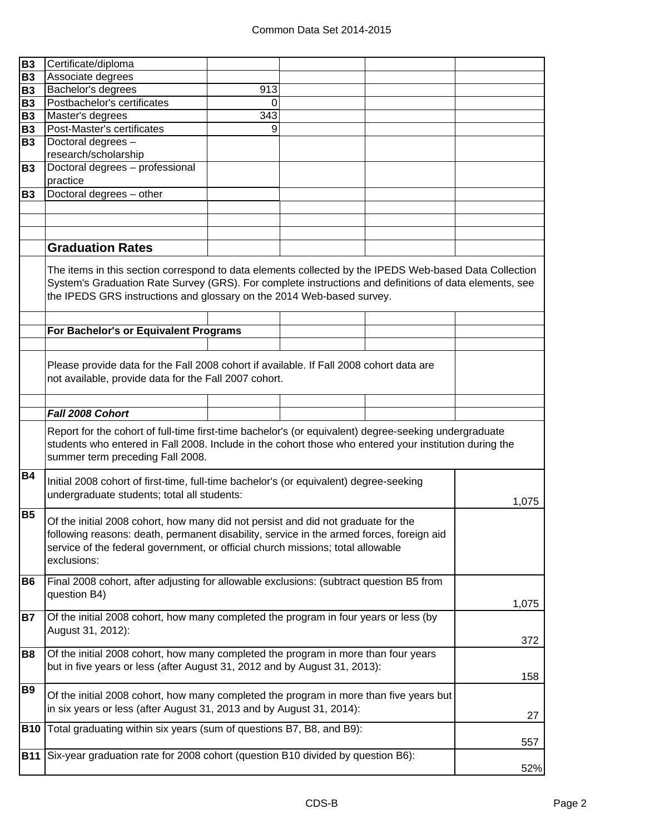| <b>B3</b>  | Certificate/diploma                                                                                                                                                                                             |                  |  |  |       |
|------------|-----------------------------------------------------------------------------------------------------------------------------------------------------------------------------------------------------------------|------------------|--|--|-------|
| <b>B3</b>  | Associate degrees                                                                                                                                                                                               |                  |  |  |       |
| <b>B3</b>  | Bachelor's degrees                                                                                                                                                                                              | 913              |  |  |       |
| <b>B3</b>  | Postbachelor's certificates                                                                                                                                                                                     | 0                |  |  |       |
| <b>B3</b>  | Master's degrees                                                                                                                                                                                                | $\overline{343}$ |  |  |       |
| <b>B3</b>  | Post-Master's certificates                                                                                                                                                                                      | 9                |  |  |       |
| <b>B3</b>  | Doctoral degrees -                                                                                                                                                                                              |                  |  |  |       |
|            | research/scholarship                                                                                                                                                                                            |                  |  |  |       |
| <b>B3</b>  | Doctoral degrees - professional                                                                                                                                                                                 |                  |  |  |       |
|            | practice                                                                                                                                                                                                        |                  |  |  |       |
| <b>B3</b>  | Doctoral degrees - other                                                                                                                                                                                        |                  |  |  |       |
|            |                                                                                                                                                                                                                 |                  |  |  |       |
|            |                                                                                                                                                                                                                 |                  |  |  |       |
|            |                                                                                                                                                                                                                 |                  |  |  |       |
|            | <b>Graduation Rates</b>                                                                                                                                                                                         |                  |  |  |       |
|            | The items in this section correspond to data elements collected by the IPEDS Web-based Data Collection                                                                                                          |                  |  |  |       |
|            | System's Graduation Rate Survey (GRS). For complete instructions and definitions of data elements, see                                                                                                          |                  |  |  |       |
|            | the IPEDS GRS instructions and glossary on the 2014 Web-based survey.                                                                                                                                           |                  |  |  |       |
|            |                                                                                                                                                                                                                 |                  |  |  |       |
|            |                                                                                                                                                                                                                 |                  |  |  |       |
|            | For Bachelor's or Equivalent Programs                                                                                                                                                                           |                  |  |  |       |
|            |                                                                                                                                                                                                                 |                  |  |  |       |
|            | Please provide data for the Fall 2008 cohort if available. If Fall 2008 cohort data are                                                                                                                         |                  |  |  |       |
|            | not available, provide data for the Fall 2007 cohort.                                                                                                                                                           |                  |  |  |       |
|            |                                                                                                                                                                                                                 |                  |  |  |       |
|            |                                                                                                                                                                                                                 |                  |  |  |       |
|            | Fall 2008 Cohort                                                                                                                                                                                                |                  |  |  |       |
|            | Report for the cohort of full-time first-time bachelor's (or equivalent) degree-seeking undergraduate<br>students who entered in Fall 2008. Include in the cohort those who entered your institution during the |                  |  |  |       |
|            | summer term preceding Fall 2008.                                                                                                                                                                                |                  |  |  |       |
| <b>B4</b>  | Initial 2008 cohort of first-time, full-time bachelor's (or equivalent) degree-seeking                                                                                                                          |                  |  |  |       |
|            | undergraduate students; total all students:                                                                                                                                                                     |                  |  |  |       |
|            |                                                                                                                                                                                                                 |                  |  |  | 1,075 |
| <b>B5</b>  | Of the initial 2008 cohort, how many did not persist and did not graduate for the                                                                                                                               |                  |  |  |       |
|            | following reasons: death, permanent disability, service in the armed forces, foreign aid                                                                                                                        |                  |  |  |       |
|            | service of the federal government, or official church missions; total allowable                                                                                                                                 |                  |  |  |       |
|            | exclusions:                                                                                                                                                                                                     |                  |  |  |       |
|            |                                                                                                                                                                                                                 |                  |  |  |       |
| <b>B6</b>  | Final 2008 cohort, after adjusting for allowable exclusions: (subtract question B5 from                                                                                                                         |                  |  |  |       |
|            | question B4)                                                                                                                                                                                                    |                  |  |  | 1,075 |
| <b>B7</b>  | Of the initial 2008 cohort, how many completed the program in four years or less (by                                                                                                                            |                  |  |  |       |
|            | August 31, 2012):                                                                                                                                                                                               |                  |  |  |       |
|            |                                                                                                                                                                                                                 |                  |  |  | 372   |
| <b>B8</b>  | Of the initial 2008 cohort, how many completed the program in more than four years                                                                                                                              |                  |  |  |       |
|            | but in five years or less (after August 31, 2012 and by August 31, 2013):                                                                                                                                       |                  |  |  |       |
|            |                                                                                                                                                                                                                 |                  |  |  | 158   |
| <b>B9</b>  | Of the initial 2008 cohort, how many completed the program in more than five years but                                                                                                                          |                  |  |  |       |
|            | in six years or less (after August 31, 2013 and by August 31, 2014):                                                                                                                                            |                  |  |  |       |
|            |                                                                                                                                                                                                                 |                  |  |  | 27    |
| <b>B10</b> | Total graduating within six years (sum of questions B7, B8, and B9):                                                                                                                                            |                  |  |  |       |
|            |                                                                                                                                                                                                                 |                  |  |  | 557   |
| <b>B11</b> | Six-year graduation rate for 2008 cohort (question B10 divided by question B6):                                                                                                                                 |                  |  |  |       |
|            |                                                                                                                                                                                                                 |                  |  |  | 52%   |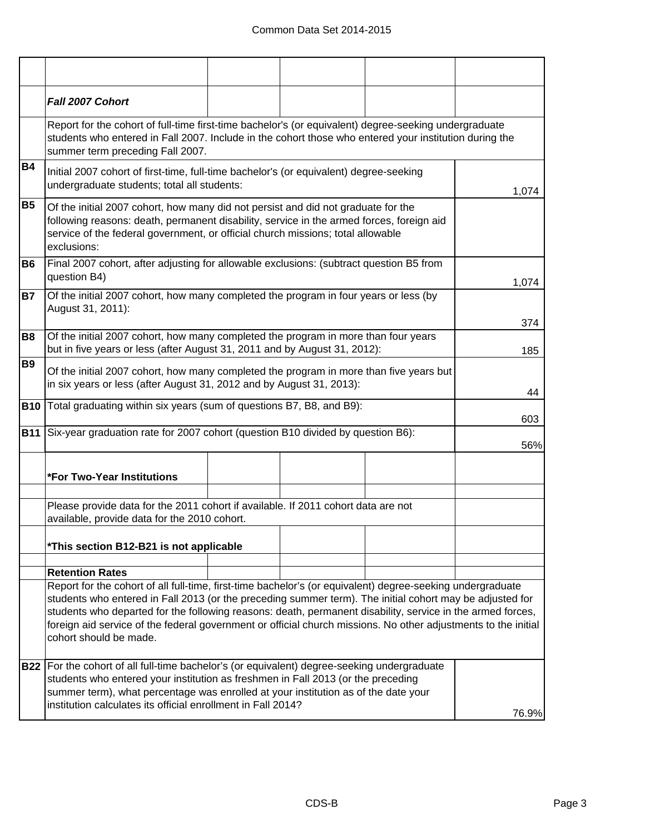|                | Fall 2007 Cohort                                                                                                                                                                                                                                                                                                                                                                                                                                                                 |  |  |     |       |
|----------------|----------------------------------------------------------------------------------------------------------------------------------------------------------------------------------------------------------------------------------------------------------------------------------------------------------------------------------------------------------------------------------------------------------------------------------------------------------------------------------|--|--|-----|-------|
|                | Report for the cohort of full-time first-time bachelor's (or equivalent) degree-seeking undergraduate<br>students who entered in Fall 2007. Include in the cohort those who entered your institution during the<br>summer term preceding Fall 2007.                                                                                                                                                                                                                              |  |  |     |       |
| <b>B4</b>      | Initial 2007 cohort of first-time, full-time bachelor's (or equivalent) degree-seeking<br>undergraduate students; total all students:                                                                                                                                                                                                                                                                                                                                            |  |  |     | 1,074 |
| <b>B5</b>      | Of the initial 2007 cohort, how many did not persist and did not graduate for the<br>following reasons: death, permanent disability, service in the armed forces, foreign aid<br>service of the federal government, or official church missions; total allowable<br>exclusions:                                                                                                                                                                                                  |  |  |     |       |
| B <sub>6</sub> | Final 2007 cohort, after adjusting for allowable exclusions: (subtract question B5 from<br>question B4)                                                                                                                                                                                                                                                                                                                                                                          |  |  |     | 1,074 |
| <b>B7</b>      | Of the initial 2007 cohort, how many completed the program in four years or less (by<br>August 31, 2011):                                                                                                                                                                                                                                                                                                                                                                        |  |  |     | 374   |
| <b>B8</b>      | Of the initial 2007 cohort, how many completed the program in more than four years<br>but in five years or less (after August 31, 2011 and by August 31, 2012):                                                                                                                                                                                                                                                                                                                  |  |  | 185 |       |
| <b>B9</b>      | Of the initial 2007 cohort, how many completed the program in more than five years but<br>in six years or less (after August 31, 2012 and by August 31, 2013):                                                                                                                                                                                                                                                                                                                   |  |  | 44  |       |
| <b>B10</b>     | Total graduating within six years (sum of questions B7, B8, and B9):                                                                                                                                                                                                                                                                                                                                                                                                             |  |  | 603 |       |
|                | <b>B11</b> Six-year graduation rate for 2007 cohort (question B10 divided by question B6):                                                                                                                                                                                                                                                                                                                                                                                       |  |  |     | 56%   |
|                | <b>*For Two-Year Institutions</b>                                                                                                                                                                                                                                                                                                                                                                                                                                                |  |  |     |       |
|                | Please provide data for the 2011 cohort if available. If 2011 cohort data are not<br>available, provide data for the 2010 cohort.                                                                                                                                                                                                                                                                                                                                                |  |  |     |       |
|                | *This section B12-B21 is not applicable                                                                                                                                                                                                                                                                                                                                                                                                                                          |  |  |     |       |
|                | <b>Retention Rates</b>                                                                                                                                                                                                                                                                                                                                                                                                                                                           |  |  |     |       |
|                | Report for the cohort of all full-time, first-time bachelor's (or equivalent) degree-seeking undergraduate<br>students who entered in Fall 2013 (or the preceding summer term). The initial cohort may be adjusted for<br>students who departed for the following reasons: death, permanent disability, service in the armed forces,<br>foreign aid service of the federal government or official church missions. No other adjustments to the initial<br>cohort should be made. |  |  |     |       |
|                | B22   For the cohort of all full-time bachelor's (or equivalent) degree-seeking undergraduate<br>students who entered your institution as freshmen in Fall 2013 (or the preceding<br>summer term), what percentage was enrolled at your institution as of the date your<br>institution calculates its official enrollment in Fall 2014?                                                                                                                                          |  |  |     |       |
|                | 76.9%                                                                                                                                                                                                                                                                                                                                                                                                                                                                            |  |  |     |       |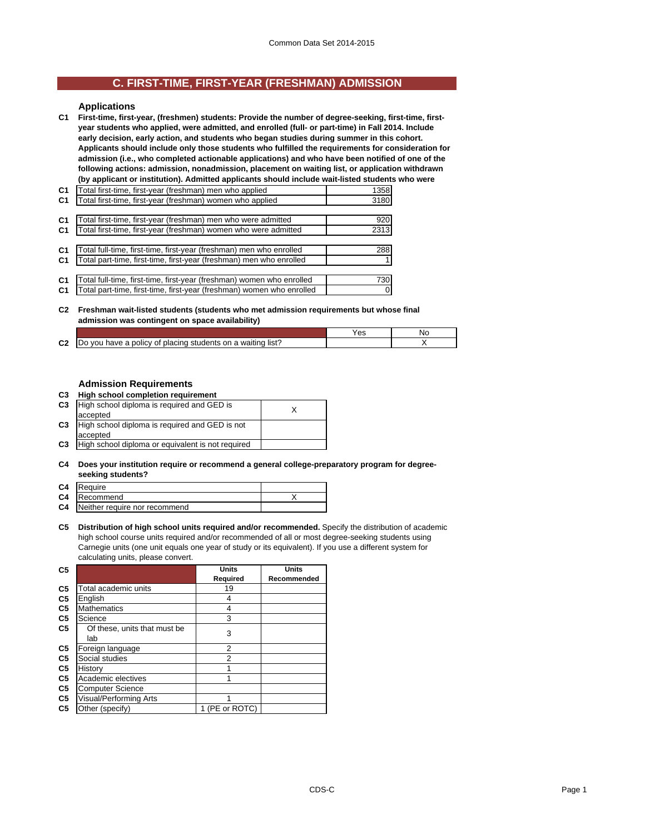## **C. FIRST-TIME, FIRST-YEAR (FRESHMAN) ADMISSION**

### **Applications**

**C1 First-time, first-year, (freshmen) students: Provide the number of degree-seeking, first-time, firstyear students who applied, were admitted, and enrolled (full- or part-time) in Fall 2014. Include early decision, early action, and students who began studies during summer in this cohort. Applicants should include only those students who fulfilled the requirements for consideration for admission (i.e., who completed actionable applications) and who have been notified of one of the following actions: admission, nonadmission, placement on waiting list, or application withdrawn (by applicant or institution). Admitted applicants should include wait-listed students who were** 

| C <sub>1</sub> | Total first-time, first-year (freshman) men who applied               | 1358     |
|----------------|-----------------------------------------------------------------------|----------|
| C <sub>1</sub> | Total first-time, first-year (freshman) women who applied             | 3180     |
|                |                                                                       |          |
| C <sub>1</sub> | Total first-time, first-year (freshman) men who were admitted         | 920      |
| C <sub>1</sub> | Total first-time, first-year (freshman) women who were admitted       | 2313     |
|                |                                                                       |          |
| C <sub>1</sub> | Total full-time, first-time, first-year (freshman) men who enrolled   | 288      |
| C <sub>1</sub> | Total part-time, first-time, first-year (freshman) men who enrolled   | 1        |
|                |                                                                       |          |
| C <sub>1</sub> | Total full-time, first-time, first-year (freshman) women who enrolled | 730      |
| C <sub>1</sub> | Total part-time, first-time, first-year (freshman) women who enrolled | $\Omega$ |
|                |                                                                       |          |

#### **C2 Freshman wait-listed students (students who met admission requirements but whose final admission was contingent on space availability)**

|              |                                                                                  | $\overline{\phantom{a}}$ | N |
|--------------|----------------------------------------------------------------------------------|--------------------------|---|
| $\sim$<br>uZ | list'<br>placing<br>students<br>on<br>. waitino<br>policy of<br>a<br>VOI<br>nave |                          |   |

### **Admission Requirements**

| C3 |  | High school completion requirement |
|----|--|------------------------------------|
|    |  |                                    |

| C <sub>3</sub> | High school diploma is required and GED is        |  |
|----------------|---------------------------------------------------|--|
|                | accepted                                          |  |
| C <sub>3</sub> | High school diploma is required and GED is not    |  |
|                | accepted                                          |  |
| C <sub>3</sub> | High school diploma or equivalent is not required |  |
|                |                                                   |  |

#### **C4 Does your institution require or recommend a general college-preparatory program for degreeseeking students?**

| C <sub>4</sub> | Require                       |  |
|----------------|-------------------------------|--|
| C4             | Recommend                     |  |
| C4             | Neither require nor recommend |  |

**C5 Distribution of high school units required and/or recommended.** Specify the distribution of academic high school course units required and/or recommended of all or most degree-seeking students using Carnegie units (one unit equals one year of study or its equivalent). If you use a different system for calculating units, please convert.

| C <sub>5</sub> |                              | <b>Units</b>   | Units       |
|----------------|------------------------------|----------------|-------------|
|                |                              | Required       | Recommended |
| C <sub>5</sub> | Total academic units         | 19             |             |
| C <sub>5</sub> | English                      | 4              |             |
| C <sub>5</sub> | <b>Mathematics</b>           | 4              |             |
| C <sub>5</sub> | Science                      | 3              |             |
| C <sub>5</sub> | Of these, units that must be | 3              |             |
|                | lab                          |                |             |
| C <sub>5</sub> | Foreign language             | 2              |             |
| C <sub>5</sub> | Social studies               | 2              |             |
| C <sub>5</sub> | History                      | 1              |             |
| C <sub>5</sub> | Academic electives           |                |             |
| C <sub>5</sub> | <b>Computer Science</b>      |                |             |
| C <sub>5</sub> | Visual/Performing Arts       | 1              |             |
| C5             | Other (specify)              | 1 (PE or ROTC) |             |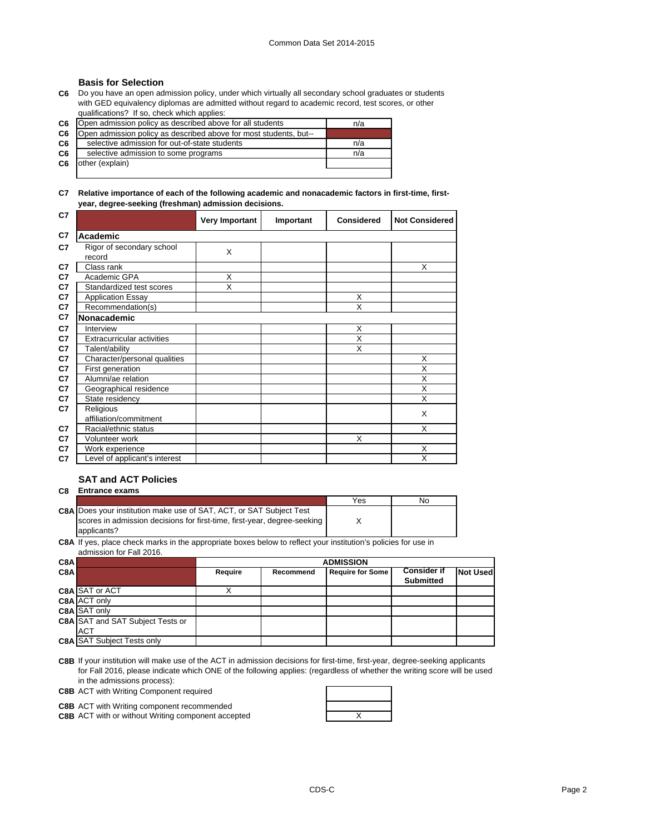### **Basis for Selection**

**C6** Do you have an open admission policy, under which virtually all secondary school graduates or students with GED equivalency diplomas are admitted without regard to academic record, test scores, or other qualifications? If so, check which applies:

| C <sub>6</sub> | Open admission policy as described above for all students         | n/a |
|----------------|-------------------------------------------------------------------|-----|
| C <sub>6</sub> | Open admission policy as described above for most students, but-- |     |
| C6             | selective admission for out-of-state students                     | n/a |
| C6             | selective admission to some programs                              | n/a |
| C <sub>6</sub> | other (explain)                                                   |     |
|                |                                                                   |     |

### **C7 Relative importance of each of the following academic and nonacademic factors in first-time, firstyear, degree-seeking (freshman) admission decisions.**

| C7 |                                     | <b>Very Important</b>   | Important | <b>Considered</b> | <b>Not Considered</b> |
|----|-------------------------------------|-------------------------|-----------|-------------------|-----------------------|
| C7 | Academic                            |                         |           |                   |                       |
| C7 | Rigor of secondary school<br>record | X                       |           |                   |                       |
| C7 | Class rank                          |                         |           |                   | X                     |
| C7 | Academic GPA                        | X                       |           |                   |                       |
| C7 | Standardized test scores            | $\overline{\mathsf{x}}$ |           |                   |                       |
| C7 | <b>Application Essay</b>            |                         |           | X                 |                       |
| C7 | Recommendation(s)                   |                         |           | X                 |                       |
| C7 | Nonacademic                         |                         |           |                   |                       |
| C7 | Interview                           |                         |           | X                 |                       |
| C7 | Extracurricular activities          |                         |           | X                 |                       |
| C7 | Talent/ability                      |                         |           | X                 |                       |
| C7 | Character/personal qualities        |                         |           |                   | X                     |
| C7 | First generation                    |                         |           |                   | X                     |
| C7 | Alumni/ae relation                  |                         |           |                   | X                     |
| C7 | Geographical residence              |                         |           |                   | X                     |
| C7 | State residency                     |                         |           |                   | X                     |
| C7 | Religious                           |                         |           |                   | X                     |
|    | affiliation/commitment              |                         |           |                   |                       |
| C7 | Racial/ethnic status                |                         |           |                   | X                     |
| C7 | Volunteer work                      |                         |           | X                 |                       |
| C7 | Work experience                     |                         |           |                   | X                     |
| C7 | Level of applicant's interest       |                         |           |                   | X                     |

### **SAT and ACT Policies**

### **C8 Entrance exams**

|                                                                            | Yes | No |
|----------------------------------------------------------------------------|-----|----|
| <b>C8A Does your institution make use of SAT, ACT, or SAT Subject Test</b> |     |    |
| scores in admission decisions for first-time, first-year, degree-seeking   |     |    |
| applicants?                                                                |     |    |

**C8A** If yes, place check marks in the appropriate boxes below to reflect your institution's policies for use in admission for Fall 2016.

| C8AI                                    | <b>ADMISSION</b>                                |           |                         |                                        |                 |  |
|-----------------------------------------|-------------------------------------------------|-----------|-------------------------|----------------------------------------|-----------------|--|
| C8AI                                    | Require                                         | Recommend | <b>Require for Some</b> | <b>Consider if</b><br><b>Submitted</b> | <b>Not Used</b> |  |
| <b>C8A SAT or ACT</b>                   |                                                 |           |                         |                                        |                 |  |
| <b>C8A ACT only</b>                     |                                                 |           |                         |                                        |                 |  |
| <b>C8A</b> SAT only                     |                                                 |           |                         |                                        |                 |  |
| <b>C8A</b> SAT and SAT Subject Tests or |                                                 |           |                         |                                        |                 |  |
|                                         |                                                 |           |                         |                                        |                 |  |
|                                         | <b>ACT</b><br><b>C8A SAT Subject Tests only</b> |           |                         |                                        |                 |  |

**C8B** If your institution will make use of the ACT in admission decisions for first-time, first-year, degree-seeking applicants for Fall 2016, please indicate which ONE of the following applies: (regardless of whether the writing score will be used in the admissions process):

**C8B** ACT with Writing Component required

**C8B** ACT with Writing component recommended **C8B** ACT with or without Writing component accepted **ACT ACCULLUM ACCULLUM** 

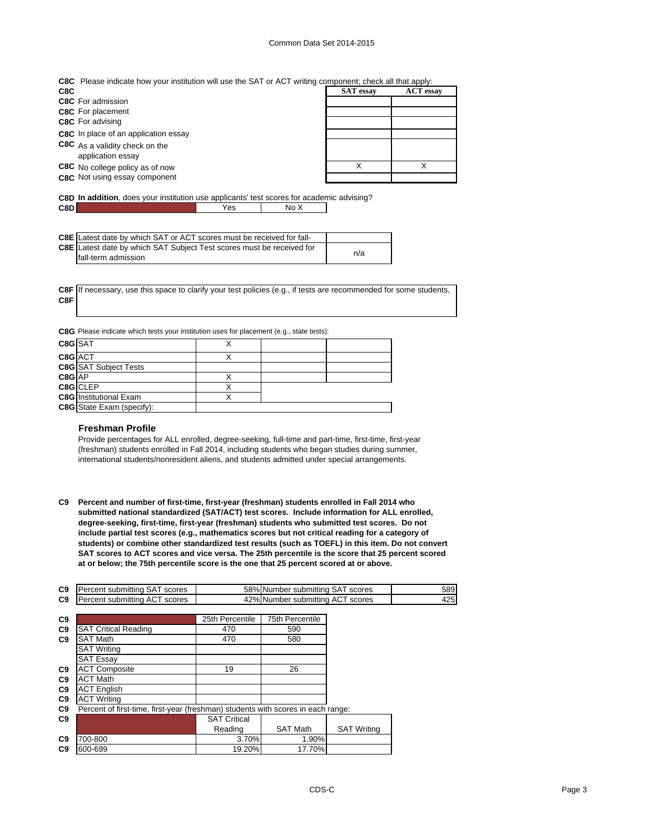### Common Data Set 2014-2015

| C8C Please indicate how your institution will use the SAT or ACT writing component; check all that apply: |
|-----------------------------------------------------------------------------------------------------------|
|-----------------------------------------------------------------------------------------------------------|

| <b>ACT</b> essay |
|------------------|
|                  |
|                  |
|                  |
|                  |
|                  |
|                  |
|                  |
|                  |

**C8D In addition**, does your institution use applicants' test scores for academic advising? **C8D** No X

| <b>C8E</b> Latest date by which SAT or ACT scores must be received for fall- |     |
|------------------------------------------------------------------------------|-----|
| <b>C8E</b> Latest date by which SAT Subject Test scores must be received for |     |
| fall-term admission                                                          | n/a |

**C8F** If necessary, use this space to clarify your test policies (e.g., if tests are recommended for some students, **C8F**

|  |  |  |  |  | C8G Please indicate which tests your institution uses for placement (e.g., state tests): |
|--|--|--|--|--|------------------------------------------------------------------------------------------|
|--|--|--|--|--|------------------------------------------------------------------------------------------|

| C8G SAT |                               |  |  |
|---------|-------------------------------|--|--|
| C8G ACT |                               |  |  |
|         | <b>C8G</b> SAT Subject Tests  |  |  |
| C8G AP  |                               |  |  |
|         | C8G CLEP                      |  |  |
|         | <b>C8G</b> Institutional Exam |  |  |
|         | C8G State Exam (specify):     |  |  |

### **Freshman Profile**

Provide percentages for ALL enrolled, degree-seeking, full-time and part-time, first-time, first-year (freshman) students enrolled in Fall 2014, including students who began studies during summer, international students/nonresident aliens, and students admitted under special arrangements.

**C9 Percent and number of first-time, first-year (freshman) students enrolled in Fall 2014 who submitted national standardized (SAT/ACT) test scores. Include information for ALL enrolled, degree-seeking, first-time, first-year (freshman) students who submitted test scores. Do not include partial test scores (e.g., mathematics scores but not critical reading for a category of students) or combine other standardized test results (such as TOEFL) in this item. Do not convert SAT scores to ACT scores and vice versa. The 25th percentile is the score that 25 percent scored at or below; the 75th percentile score is the one that 25 percent scored at or above.**

| C9             | Percent submitting SAT scores                                                    |                     | 58% Number submitting SAT scores |                    | 589 |
|----------------|----------------------------------------------------------------------------------|---------------------|----------------------------------|--------------------|-----|
| C <sub>9</sub> | Percent submitting ACT scores                                                    |                     | 42% Number submitting ACT scores |                    | 425 |
|                |                                                                                  |                     |                                  |                    |     |
| C9             |                                                                                  | 25th Percentile     | <b>75th Percentile</b>           |                    |     |
| C9             | <b>SAT Critical Reading</b>                                                      | 470                 | 590                              |                    |     |
| C9             | <b>SAT Math</b>                                                                  | 470                 | 580                              |                    |     |
|                | <b>SAT Writing</b>                                                               |                     |                                  |                    |     |
|                | <b>SAT Essay</b>                                                                 |                     |                                  |                    |     |
| C <sub>9</sub> | <b>ACT Composite</b>                                                             | 19                  | 26                               |                    |     |
| C <sub>9</sub> | <b>ACT Math</b>                                                                  |                     |                                  |                    |     |
| C <sub>9</sub> | <b>ACT English</b>                                                               |                     |                                  |                    |     |
| C <sub>9</sub> | <b>ACT Writing</b>                                                               |                     |                                  |                    |     |
| C9             | Percent of first-time, first-year (freshman) students with scores in each range: |                     |                                  |                    |     |
| C9             |                                                                                  | <b>SAT Critical</b> |                                  |                    |     |
|                |                                                                                  | Reading             | <b>SAT Math</b>                  | <b>SAT Writing</b> |     |
| C <sub>9</sub> | 700-800                                                                          | 3.70%               | 1.90%                            |                    |     |
| C <sub>9</sub> | 600-699                                                                          | 19.20%              | 17.70%                           |                    |     |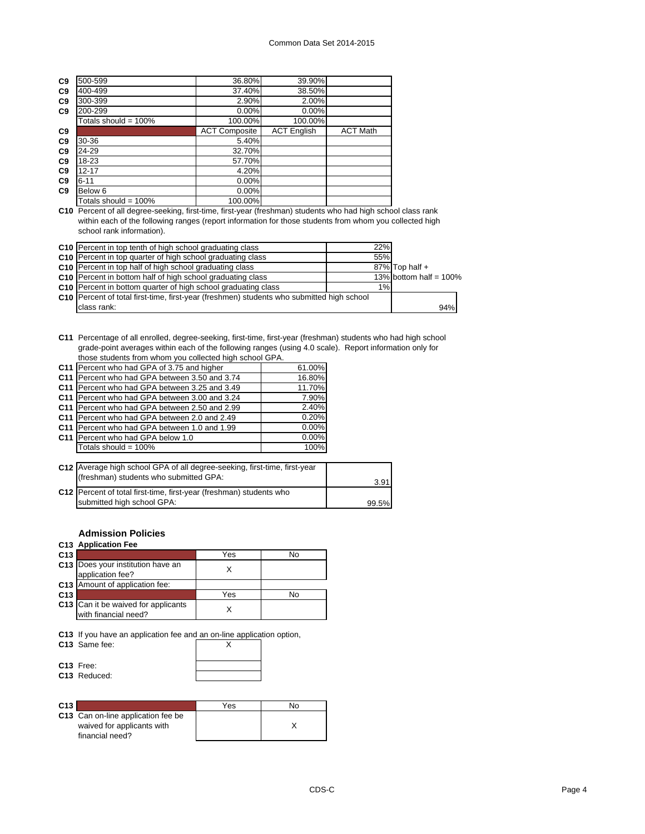| C <sub>9</sub> | 500-599                 | 36.80%               | 39.90%             |                 |
|----------------|-------------------------|----------------------|--------------------|-----------------|
| C <sub>9</sub> | 400-499                 | 37.40%               | 38.50%             |                 |
| C <sub>9</sub> | 300-399                 | 2.90%                | 2.00%              |                 |
| C <sub>9</sub> | 200-299                 | $0.00\%$             | 0.00%              |                 |
|                | Totals should = $100\%$ | 100.00%              | 100.00%            |                 |
| C <sub>9</sub> |                         | <b>ACT Composite</b> | <b>ACT English</b> | <b>ACT Math</b> |
| C9             | 30-36                   | 5.40%                |                    |                 |
| C <sub>9</sub> | 24-29                   | 32.70%               |                    |                 |
| C <sub>9</sub> | 18-23                   | 57.70%               |                    |                 |
| C <sub>9</sub> | $12 - 17$               | 4.20%                |                    |                 |
| C <sub>9</sub> | $6 - 11$                | $0.00\%$             |                    |                 |
| C <sub>9</sub> | Below 6                 | $0.00\%$             |                    |                 |
|                | Totals should = $100\%$ | 100.00%              |                    |                 |
|                |                         |                      |                    |                 |

**C10** Percent of all degree-seeking, first-time, first-year (freshman) students who had high school class rank within each of the following ranges (report information for those students from whom you collected high school rank information).

| C10 Percent in top tenth of high school graduating class                                  | 22% |                           |
|-------------------------------------------------------------------------------------------|-----|---------------------------|
| C10 Percent in top quarter of high school graduating class                                | 55% |                           |
| C10 Percent in top half of high school graduating class                                   |     | 87% Top half +            |
| C <sub>10</sub> Percent in bottom half of high school graduating class                    |     | 13% bottom half = $100\%$ |
| C10 Percent in bottom quarter of high school graduating class                             | 1%  |                           |
| C10 Percent of total first-time, first-year (freshmen) students who submitted high school |     |                           |
| class rank:                                                                               |     | 94%                       |

**C11** Percentage of all enrolled, degree-seeking, first-time, first-year (freshman) students who had high school grade-point averages within each of the following ranges (using 4.0 scale). Report information only for those students from whom you collected high school GPA.

| C11 Percent who had GPA of 3.75 and higher    | 61.00%   |
|-----------------------------------------------|----------|
| C11 Percent who had GPA between 3.50 and 3.74 | 16.80%   |
| C11 Percent who had GPA between 3.25 and 3.49 | 11.70%   |
| C11 Percent who had GPA between 3.00 and 3.24 | 7.90%    |
| C11 Percent who had GPA between 2.50 and 2.99 | 2.40%    |
| C11 Percent who had GPA between 2.0 and 2.49  | 0.20%    |
| C11 Percent who had GPA between 1.0 and 1.99  | $0.00\%$ |
| C11 Percent who had GPA below 1.0             | $0.00\%$ |
| Totals should = $100\%$                       | 100%     |

| C12 Average high school GPA of all degree-seeking, first-time, first-year<br>(freshman) students who submitted GPA: | 3.91  |
|---------------------------------------------------------------------------------------------------------------------|-------|
| C12   Percent of total first-time, first-year (freshman) students who<br>submitted high school GPA:                 | 99.5% |

### **Admission Policies**

### **C13 Application Fee**

| C <sub>13</sub> |                                                             | Yes | Nο |
|-----------------|-------------------------------------------------------------|-----|----|
|                 | C13 Does your institution have an<br>application fee?       |     |    |
|                 | <b>C13</b> Amount of application fee:                       |     |    |
| C <sub>13</sub> |                                                             | Yes | N٥ |
|                 | C13 Can it be waived for applicants<br>with financial need? |     |    |

**C13** If you have an application fee and an on-line application option,

| C13 Same fee:            |  |
|--------------------------|--|
| C <sub>13</sub> Free:    |  |
| C <sub>13</sub> Reduced: |  |

| C <sub>13</sub>                                                  | Yes | Nο |
|------------------------------------------------------------------|-----|----|
| C13 Can on-line application fee be<br>waived for applicants with |     |    |
| financial need?                                                  |     |    |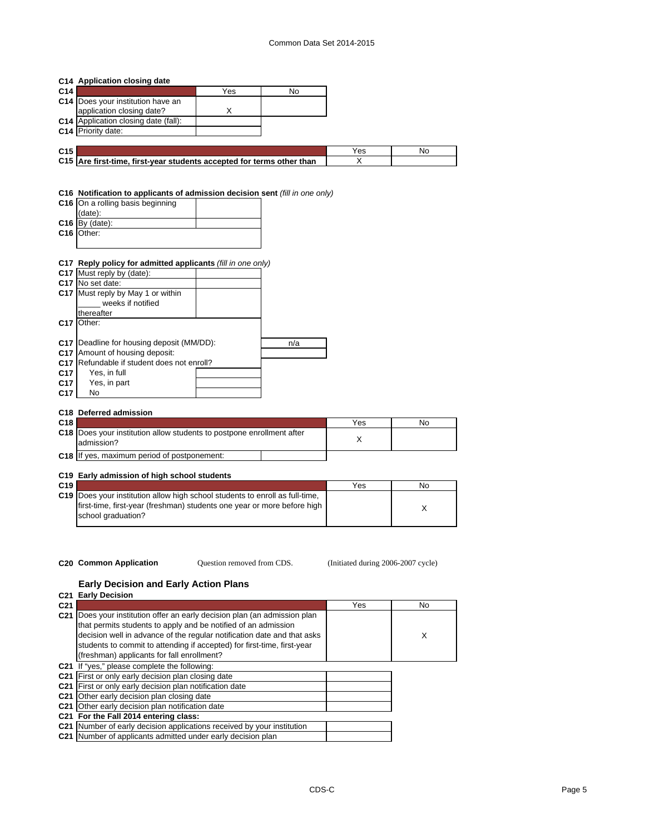|                 | C14 Application closing date                                                 |                            |     |                                    |    |
|-----------------|------------------------------------------------------------------------------|----------------------------|-----|------------------------------------|----|
| C14             |                                                                              | Yes                        | No  |                                    |    |
|                 | C14 Does your institution have an                                            |                            |     |                                    |    |
|                 | application closing date?                                                    | X                          |     |                                    |    |
|                 | C14 Application closing date (fall):                                         |                            |     |                                    |    |
|                 | C14 Priority date:                                                           |                            |     |                                    |    |
|                 |                                                                              |                            |     |                                    |    |
| C <sub>15</sub> |                                                                              |                            |     | Yes                                | No |
|                 | C15 Are first-time, first-year students accepted for terms other than        |                            |     | X                                  |    |
|                 |                                                                              |                            |     |                                    |    |
|                 |                                                                              |                            |     |                                    |    |
|                 |                                                                              |                            |     |                                    |    |
|                 | C16 Notification to applicants of admission decision sent (fill in one only) |                            |     |                                    |    |
|                 | C16 On a rolling basis beginning                                             |                            |     |                                    |    |
|                 | (date):                                                                      |                            |     |                                    |    |
|                 | $C16$ By (date):                                                             |                            |     |                                    |    |
|                 | C16 Other:                                                                   |                            |     |                                    |    |
|                 |                                                                              |                            |     |                                    |    |
|                 |                                                                              |                            |     |                                    |    |
|                 | C17 Reply policy for admitted applicants (fill in one only)                  |                            |     |                                    |    |
|                 | C17 Must reply by (date):                                                    |                            |     |                                    |    |
|                 | C17 No set date:                                                             |                            |     |                                    |    |
|                 | C17 Must reply by May 1 or within                                            |                            |     |                                    |    |
|                 | weeks if notified                                                            |                            |     |                                    |    |
|                 | thereafter                                                                   |                            |     |                                    |    |
|                 | C17 Other:                                                                   |                            |     |                                    |    |
|                 |                                                                              |                            |     |                                    |    |
|                 |                                                                              |                            |     |                                    |    |
|                 | C17   Deadline for housing deposit (MM/DD):                                  |                            | n/a |                                    |    |
|                 | C17 Amount of housing deposit:                                               |                            |     |                                    |    |
|                 | C17 Refundable if student does not enroll?                                   |                            |     |                                    |    |
| C <sub>17</sub> | Yes, in full                                                                 |                            |     |                                    |    |
| C17             | Yes, in part                                                                 |                            |     |                                    |    |
| C <sub>17</sub> | No                                                                           |                            |     |                                    |    |
|                 |                                                                              |                            |     |                                    |    |
|                 | C18 Deferred admission                                                       |                            |     |                                    |    |
| C18             |                                                                              |                            |     | Yes                                | No |
|                 | C18 Does your institution allow students to postpone enrollment after        |                            |     |                                    |    |
|                 | admission?                                                                   |                            |     | X                                  |    |
|                 | C18 If yes, maximum period of postponement:                                  |                            |     |                                    |    |
|                 |                                                                              |                            |     |                                    |    |
|                 |                                                                              |                            |     |                                    |    |
| C <sub>19</sub> | C19 Early admission of high school students                                  |                            |     |                                    |    |
|                 |                                                                              |                            |     | Yes                                | No |
|                 | C19 Does your institution allow high school students to enroll as full-time, |                            |     |                                    |    |
|                 | first-time, first-year (freshman) students one year or more before high      |                            |     |                                    | X  |
|                 | school graduation?                                                           |                            |     |                                    |    |
|                 |                                                                              |                            |     |                                    |    |
|                 |                                                                              |                            |     |                                    |    |
|                 |                                                                              |                            |     |                                    |    |
|                 |                                                                              |                            |     |                                    |    |
|                 | C <sub>20</sub> Common Application                                           | Question removed from CDS. |     | (Initiated during 2006-2007 cycle) |    |

### **Early Decision and Early Action Plans**

| <b>C21 Early Decision</b>                                               |                                                                                                                                                                                                                                                                                                                                                                                                                                                                                                                      |     |
|-------------------------------------------------------------------------|----------------------------------------------------------------------------------------------------------------------------------------------------------------------------------------------------------------------------------------------------------------------------------------------------------------------------------------------------------------------------------------------------------------------------------------------------------------------------------------------------------------------|-----|
|                                                                         | Yes                                                                                                                                                                                                                                                                                                                                                                                                                                                                                                                  | No. |
|                                                                         |                                                                                                                                                                                                                                                                                                                                                                                                                                                                                                                      |     |
| that permits students to apply and be notified of an admission          |                                                                                                                                                                                                                                                                                                                                                                                                                                                                                                                      |     |
| decision well in advance of the regular notification date and that asks |                                                                                                                                                                                                                                                                                                                                                                                                                                                                                                                      | X   |
| students to commit to attending if accepted) for first-time, first-year |                                                                                                                                                                                                                                                                                                                                                                                                                                                                                                                      |     |
| (freshman) applicants for fall enrollment?                              |                                                                                                                                                                                                                                                                                                                                                                                                                                                                                                                      |     |
|                                                                         |                                                                                                                                                                                                                                                                                                                                                                                                                                                                                                                      |     |
|                                                                         |                                                                                                                                                                                                                                                                                                                                                                                                                                                                                                                      |     |
|                                                                         |                                                                                                                                                                                                                                                                                                                                                                                                                                                                                                                      |     |
|                                                                         |                                                                                                                                                                                                                                                                                                                                                                                                                                                                                                                      |     |
|                                                                         |                                                                                                                                                                                                                                                                                                                                                                                                                                                                                                                      |     |
|                                                                         |                                                                                                                                                                                                                                                                                                                                                                                                                                                                                                                      |     |
|                                                                         |                                                                                                                                                                                                                                                                                                                                                                                                                                                                                                                      |     |
|                                                                         |                                                                                                                                                                                                                                                                                                                                                                                                                                                                                                                      |     |
|                                                                         | Does your institution offer an early decision plan (an admission plan<br><b>C21</b> If "ves." please complete the following:<br>C21 First or only early decision plan closing date<br>First or only early decision plan notification date<br>C21 Other early decision plan closing date<br>C21 Other early decision plan notification date<br>C21 For the Fall 2014 entering class:<br>Number of early decision applications received by your institution<br>Number of applicants admitted under early decision plan |     |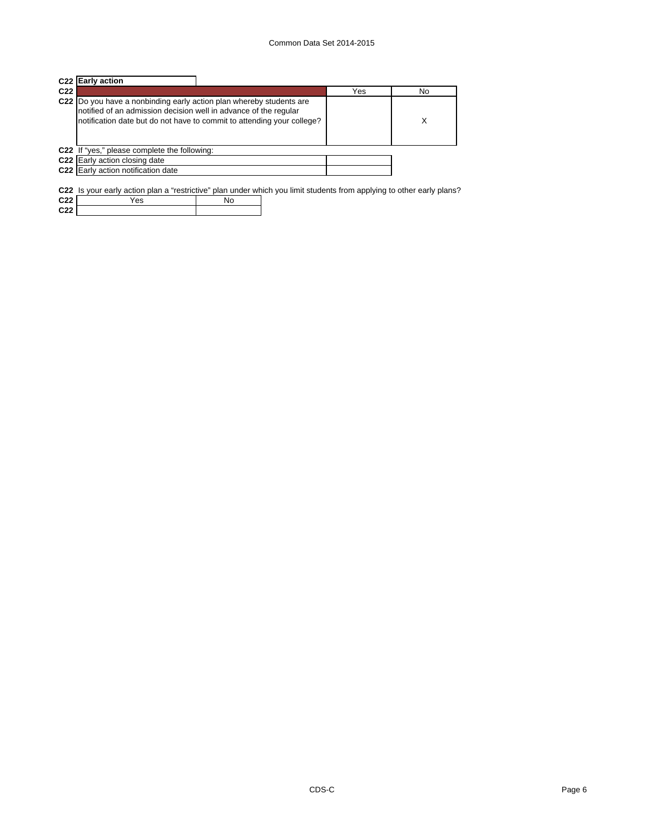|     | C <sub>22</sub> Early action                                                                                                                                                                                      |     |    |
|-----|-------------------------------------------------------------------------------------------------------------------------------------------------------------------------------------------------------------------|-----|----|
| C22 |                                                                                                                                                                                                                   | Yes | No |
|     | C22 Do you have a nonbinding early action plan whereby students are<br>notified of an admission decision well in advance of the regular<br>notification date but do not have to commit to attending your college? |     | Х  |
|     | C22 If "yes," please complete the following:                                                                                                                                                                      |     |    |
|     | C22 Early action closing date                                                                                                                                                                                     |     |    |
|     | C22 Early action notification date                                                                                                                                                                                |     |    |
|     |                                                                                                                                                                                                                   |     |    |

**C22** Is your early action plan a "restrictive" plan under which you limit students from applying to other early plans?

| C <sub>22</sub>   | ∀es |  |
|-------------------|-----|--|
| <b>COD</b><br>,,, |     |  |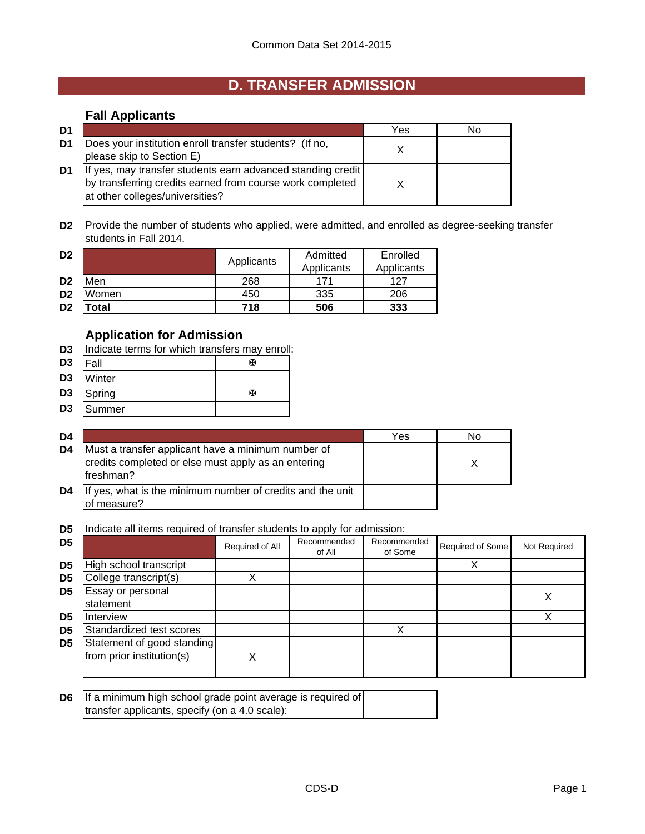# **D. TRANSFER ADMISSION**

## **Fall Applicants**

| D1 |                                                                                                                                                             | Yes | N٥ |
|----|-------------------------------------------------------------------------------------------------------------------------------------------------------------|-----|----|
| D1 | Does your institution enroll transfer students? (If no,<br>please skip to Section E)                                                                        |     |    |
| D1 | If yes, may transfer students earn advanced standing credit<br>by transferring credits earned from course work completed<br>at other colleges/universities? |     |    |

**D2** Provide the number of students who applied, were admitted, and enrolled as degree-seeking transfer students in Fall 2014.

| D <sub>2</sub> |       | Applicants | Admitted   | Enrolled   |
|----------------|-------|------------|------------|------------|
|                |       |            | Applicants | Applicants |
| D <sub>2</sub> | Men   | 268        | 171        | 127        |
| D <sub>2</sub> | Women | 450        | 335        | 206        |
| D <sub>2</sub> | 'otal | 718        | 506        | 333        |

## **Application for Admission**

- **D3** Indicate terms for which transfers may enroll:
- D3 |Fall | <sub>卧</sub>
- **D3** Winter
- **D3** Spring W
- **D3** Summer

| D4 |                                                                                                                         | Yes | No |
|----|-------------------------------------------------------------------------------------------------------------------------|-----|----|
| D4 | Must a transfer applicant have a minimum number of<br>credits completed or else must apply as an entering<br>Ifreshman? |     |    |
| D4 | If yes, what is the minimum number of credits and the unit<br>of measure?                                               |     |    |

**D5** Indicate all items required of transfer students to apply for admission:

| D <sub>5</sub> |                                                         | Required of All | Recommended<br>of All | Recommended<br>of Some | Required of Some | Not Required |
|----------------|---------------------------------------------------------|-----------------|-----------------------|------------------------|------------------|--------------|
| D <sub>5</sub> | High school transcript                                  |                 |                       |                        |                  |              |
| D <sub>5</sub> | College transcript(s)                                   |                 |                       |                        |                  |              |
| D5             | Essay or personal<br>statement                          |                 |                       |                        |                  |              |
| D5             | <b>Interview</b>                                        |                 |                       |                        |                  |              |
| D <sub>5</sub> | Standardized test scores                                |                 |                       |                        |                  |              |
| D <sub>5</sub> | Statement of good standing<br>from prior institution(s) | Χ               |                       |                        |                  |              |

| <b>D6</b> If a minimum high school grade point average is required of |  |
|-----------------------------------------------------------------------|--|
| transfer applicants, specify (on a 4.0 scale):                        |  |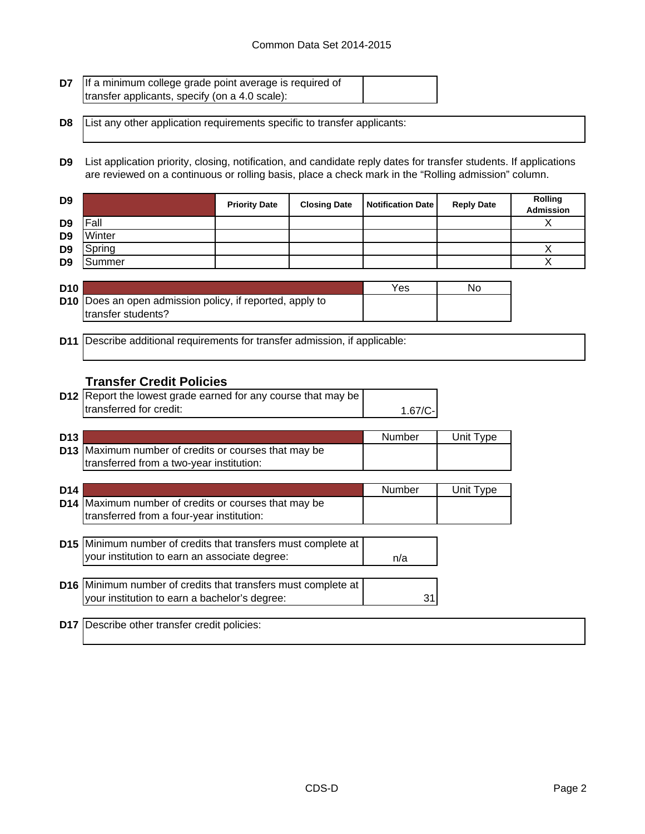| <b>D7</b> If a minimum college grade point average is required of |  |
|-------------------------------------------------------------------|--|
| transfer applicants, specify (on a 4.0 scale):                    |  |

**D8** List any other application requirements specific to transfer applicants:

**D9** List application priority, closing, notification, and candidate reply dates for transfer students. If applications are reviewed on a continuous or rolling basis, place a check mark in the "Rolling admission" column.

| D <sub>9</sub> |        | <b>Priority Date</b> | <b>Closing Date</b> | <b>Notification Date</b> | <b>Reply Date</b> | <b>Rolling</b><br>Admission |
|----------------|--------|----------------------|---------------------|--------------------------|-------------------|-----------------------------|
| D <sub>9</sub> | Fall   |                      |                     |                          |                   |                             |
| D <sub>9</sub> | Winter |                      |                     |                          |                   |                             |
| D <sub>9</sub> | Spring |                      |                     |                          |                   |                             |
| D <sub>9</sub> | Summer |                      |                     |                          |                   |                             |

| <b>D10</b> |                                                                 | Yes | No |
|------------|-----------------------------------------------------------------|-----|----|
|            | <b>D10</b> Does an open admission policy, if reported, apply to |     |    |
|            | transfer students?                                              |     |    |

**D11** Describe additional requirements for transfer admission, if applicable:

## **Transfer Credit Policies**

| <b>D12</b> Report the lowest grade earned for any course that may be |           |
|----------------------------------------------------------------------|-----------|
| Itransferred for credit:                                             | $1.67/C-$ |

| D <sub>13</sub> |                                                             | Number | Unit Type |
|-----------------|-------------------------------------------------------------|--------|-----------|
|                 | <b>D13</b> Maximum number of credits or courses that may be |        |           |
|                 | transferred from a two-year institution:                    |        |           |

| D <sub>14</sub> |                                                                                                                       | Number | Unit Type |
|-----------------|-----------------------------------------------------------------------------------------------------------------------|--------|-----------|
|                 | D14   Maximum number of credits or courses that may be<br>transferred from a four-year institution:                   |        |           |
|                 | <b>D15</b> Minimum number of credits that transfers must complete at<br>your institution to earn an associate degree: | n/a    |           |
|                 | D16 Minimum number of credits that transfers must complete at<br>your institution to earn a bachelor's degree:        | 31     |           |

**D17** Describe other transfer credit policies: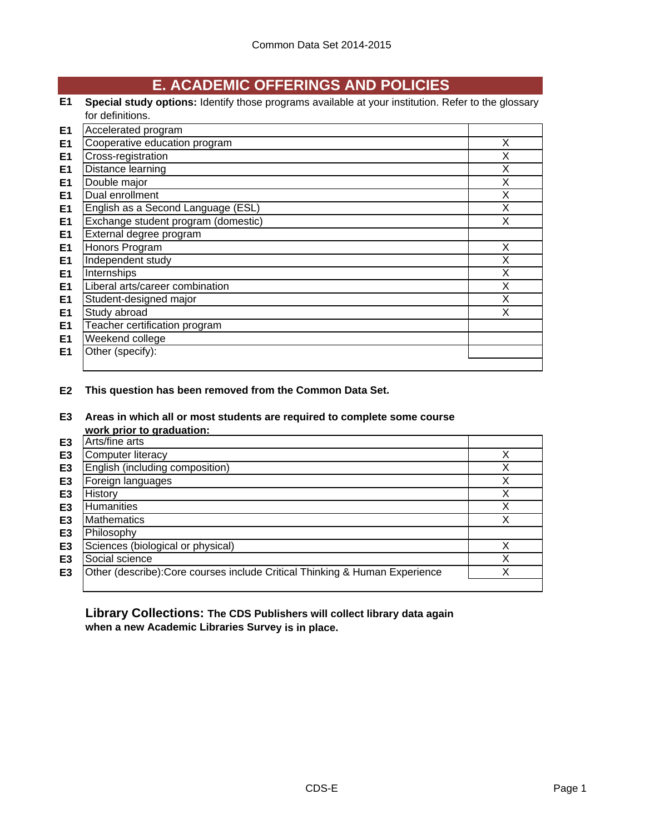# **E. ACADEMIC OFFERINGS AND POLICIES**

**E1 Special study options:** Identify those programs available at your institution. Refer to the glossary for definitions.

| E <sub>1</sub> | Accelerated program                 |   |
|----------------|-------------------------------------|---|
| E <sub>1</sub> | Cooperative education program       | X |
| E <sub>1</sub> | Cross-registration                  | х |
| E <sub>1</sub> | Distance learning                   | X |
| E <sub>1</sub> | Double major                        | X |
| E <sub>1</sub> | Dual enrollment                     | X |
| E <sub>1</sub> | English as a Second Language (ESL)  | X |
| E <sub>1</sub> | Exchange student program (domestic) | X |
| E <sub>1</sub> | External degree program             |   |
| E <sub>1</sub> | Honors Program                      | X |
| E <sub>1</sub> | Independent study                   | X |
| E1             | Internships                         | X |
| E <sub>1</sub> | Liberal arts/career combination     | X |
| E <sub>1</sub> | Student-designed major              | X |
| E <sub>1</sub> | Study abroad                        | X |
| E <sub>1</sub> | Teacher certification program       |   |
| E <sub>1</sub> | Weekend college                     |   |
| E <sub>1</sub> | Other (specify):                    |   |
|                |                                     |   |

**E2 This question has been removed from the Common Data Set.**

**E3 Areas in which all or most students are required to complete some course work prior to graduation:**

|                | <b>WUIN DITUL to GIQUATION.</b>                                             |   |
|----------------|-----------------------------------------------------------------------------|---|
| E3             | Arts/fine arts                                                              |   |
| E3             | <b>Computer literacy</b>                                                    |   |
| E <sub>3</sub> | English (including composition)                                             |   |
| E <sub>3</sub> | Foreign languages                                                           |   |
| E3             | History                                                                     | v |
| E3             | Humanities                                                                  | v |
| E <sub>3</sub> | <b>Mathematics</b>                                                          | ✓ |
| E <sub>3</sub> | Philosophy                                                                  |   |
| E <sub>3</sub> | Sciences (biological or physical)                                           |   |
| E <sub>3</sub> | Social science                                                              |   |
| E3             | Other (describe): Core courses include Critical Thinking & Human Experience |   |
|                |                                                                             |   |

**Library Collections: The CDS Publishers will collect library data again when a new Academic Libraries Survey is in place.**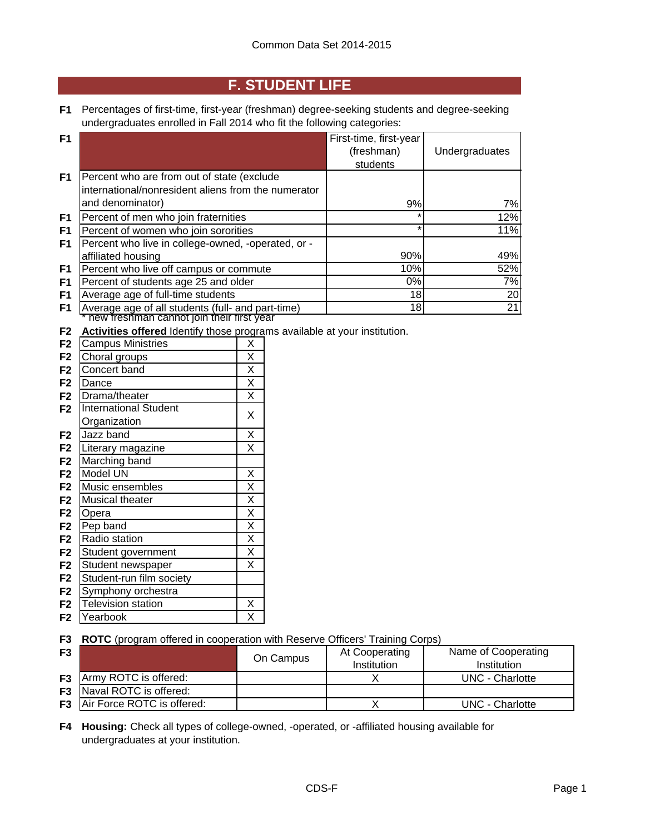## **F. STUDENT LIFE**

**F1** Percentages of first-time, first-year (freshman) degree-seeking students and degree-seeking undergraduates enrolled in Fall 2014 who fit the following categories:

| F <sub>1</sub> |                                                     | First-time, first-year |                |
|----------------|-----------------------------------------------------|------------------------|----------------|
|                |                                                     | (freshman)             | Undergraduates |
|                |                                                     | students               |                |
| F <sub>1</sub> | Percent who are from out of state (exclude          |                        |                |
|                | international/nonresident aliens from the numerator |                        |                |
|                | and denominator)                                    | 9%                     | 7%             |
| F <sub>1</sub> | Percent of men who join fraternities                | $\star$                | 12%            |
| F <sub>1</sub> | Percent of women who join sororities                | $\star$                | 11%            |
| F1             | Percent who live in college-owned, -operated, or -  |                        |                |
|                | affiliated housing                                  | 90%                    | 49%            |
| F <sub>1</sub> | Percent who live off campus or commute              | 10%                    | 52%            |
| F1             | Percent of students age 25 and older                | 0%                     | 7%             |
| F1             | Average age of full-time students                   | 18                     | 20             |
| F1             | Average age of all students (full- and part-time)   | 18                     | 21             |
|                | new freshman cannot join their first year           |                        |                |

**F2 Activities offered** Identify those programs available at your institution.

|                | Activities Offered Refling those program |                         |
|----------------|------------------------------------------|-------------------------|
| F <sub>2</sub> | <b>Campus Ministries</b>                 | Χ                       |
| F <sub>2</sub> | Choral groups                            | X                       |
| F <sub>2</sub> | Concert band                             | X                       |
| F <sub>2</sub> | Dance                                    | X                       |
| F <sub>2</sub> | Drama/theater                            | $\overline{\mathsf{x}}$ |
| F2             | <b>International Student</b>             | X                       |
|                | Organization                             |                         |
| F <sub>2</sub> | Jazz band                                | $\overline{\mathsf{x}}$ |
| F <sub>2</sub> | Literary magazine                        | X                       |
| F <sub>2</sub> | Marching band                            |                         |
| F <sub>2</sub> | Model UN                                 | X                       |
| F <sub>2</sub> | Music ensembles                          | $\overline{\mathsf{x}}$ |
| F <sub>2</sub> | Musical theater                          | $\overline{\mathsf{x}}$ |
| F <sub>2</sub> | Opera                                    | $\overline{\mathsf{x}}$ |
| F <sub>2</sub> | Pep band                                 | $\overline{\mathsf{x}}$ |
| F <sub>2</sub> | Radio station                            | $\overline{\mathsf{x}}$ |
| F <sub>2</sub> | Student government                       | $\overline{\mathsf{x}}$ |
| F <sub>2</sub> | Student newspaper                        | $\overline{\mathsf{x}}$ |
| F <sub>2</sub> | Student-run film society                 |                         |
| F <sub>2</sub> | Symphony orchestra                       |                         |
| F <sub>2</sub> | <b>Television station</b>                | Χ                       |
| F2             | Yearbook                                 | Χ                       |
|                |                                          |                         |

**F3 ROTC** (program offered in cooperation with Reserve Officers' Training Corps)

| F <sub>3</sub> |                                      | On Campus | At Cooperating<br>Institution | Name of Cooperating<br>Institution |
|----------------|--------------------------------------|-----------|-------------------------------|------------------------------------|
|                | <b>F3</b> Army ROTC is offered:      |           |                               | UNC - Charlotte                    |
|                | <b>F3</b> Naval ROTC is offered:     |           |                               |                                    |
|                | <b>F3</b> Air Force ROTC is offered: |           |                               | <b>UNC - Charlotte</b>             |

**F4 Housing:** Check all types of college-owned, -operated, or -affiliated housing available for undergraduates at your institution.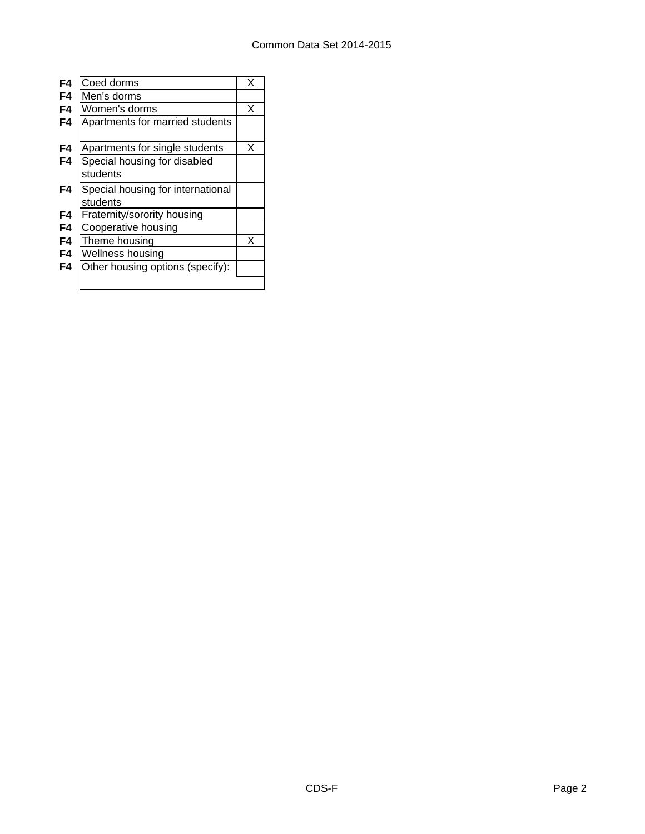| F4 | Coed dorms                        | х |
|----|-----------------------------------|---|
| F4 | Men's dorms                       |   |
| F4 | Women's dorms                     | х |
| F4 | Apartments for married students   |   |
|    |                                   |   |
| F4 | Apartments for single students    | X |
| F4 | Special housing for disabled      |   |
|    | students                          |   |
| F4 | Special housing for international |   |
|    | students                          |   |
| F4 | Fraternity/sorority housing       |   |
| F4 | Cooperative housing               |   |
| F4 | Theme housing                     | x |
| F4 | Wellness housing                  |   |
| F4 | Other housing options (specify):  |   |
|    |                                   |   |
|    |                                   |   |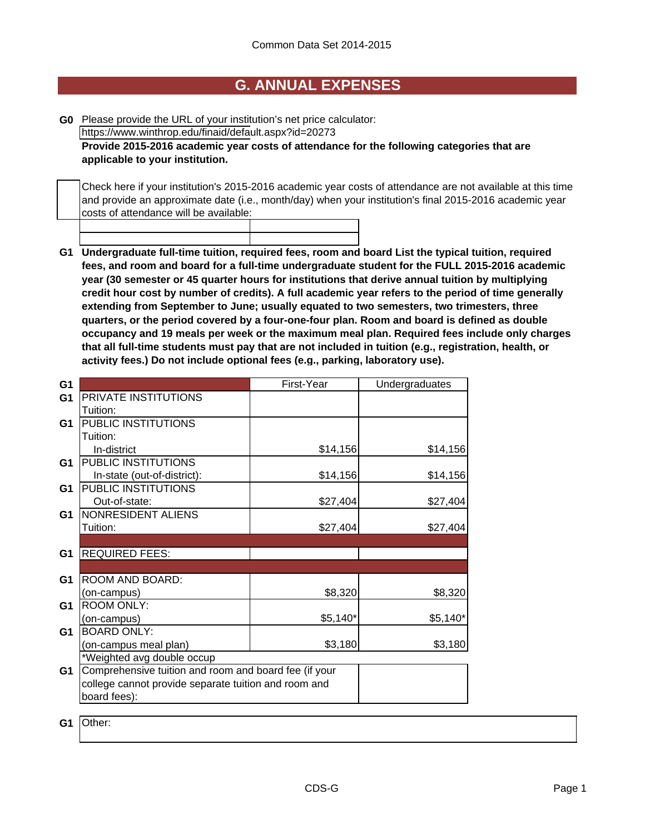## **G. ANNUAL EXPENSES**

**G0** Please provide the URL of your institution's net price calculator: https://www.winthrop.edu/finaid/default.aspx?id=20273

**Provide 2015-2016 academic year costs of attendance for the following categories that are applicable to your institution.**

Check here if your institution's 2015-2016 academic year costs of attendance are not available at this time and provide an approximate date (i.e., month/day) when your institution's final 2015-2016 academic year costs of attendance will be available:

**G1 Undergraduate full-time tuition, required fees, room and board List the typical tuition, required fees, and room and board for a full-time undergraduate student for the FULL 2015-2016 academic year (30 semester or 45 quarter hours for institutions that derive annual tuition by multiplying credit hour cost by number of credits). A full academic year refers to the period of time generally extending from September to June; usually equated to two semesters, two trimesters, three quarters, or the period covered by a four-one-four plan. Room and board is defined as double occupancy and 19 meals per week or the maximum meal plan. Required fees include only charges that all full-time students must pay that are not included in tuition (e.g., registration, health, or activity fees.) Do not include optional fees (e.g., parking, laboratory use).**

| G <sub>1</sub> |                                                       | First-Year | Undergraduates |
|----------------|-------------------------------------------------------|------------|----------------|
| G <sub>1</sub> | PRIVATE INSTITUTIONS                                  |            |                |
|                | Tuition:                                              |            |                |
| G <sub>1</sub> | PUBLIC INSTITUTIONS                                   |            |                |
|                | Tuition:                                              |            |                |
|                | In-district                                           | \$14,156   | \$14,156       |
| G <sub>1</sub> | PUBLIC INSTITUTIONS                                   |            |                |
|                | In-state (out-of-district):                           | \$14,156   | \$14,156       |
| G <sub>1</sub> | PUBLIC INSTITUTIONS                                   |            |                |
|                | Out-of-state:                                         | \$27,404   | \$27,404       |
| G <sub>1</sub> | NONRESIDENT ALIENS                                    |            |                |
|                | Tuition:                                              | \$27,404   | \$27,404       |
|                |                                                       |            |                |
| G <sub>1</sub> | <b>REQUIRED FEES:</b>                                 |            |                |
|                |                                                       |            |                |
| G <sub>1</sub> | ROOM AND BOARD:                                       |            |                |
|                | (on-campus)                                           | \$8,320    | \$8,320        |
| G <sub>1</sub> | <b>ROOM ONLY:</b>                                     |            |                |
|                | (on-campus)                                           | $$5,140*$  | $$5,140*$      |
| G <sub>1</sub> | <b>BOARD ONLY:</b>                                    |            |                |
|                | (on-campus meal plan)                                 | \$3,180    | \$3,180        |
|                | *Weighted avg double occup                            |            |                |
| G <sub>1</sub> | Comprehensive tuition and room and board fee (if your |            |                |
|                | college cannot provide separate tuition and room and  |            |                |
|                | board fees):                                          |            |                |
|                |                                                       |            |                |

**G1** Other: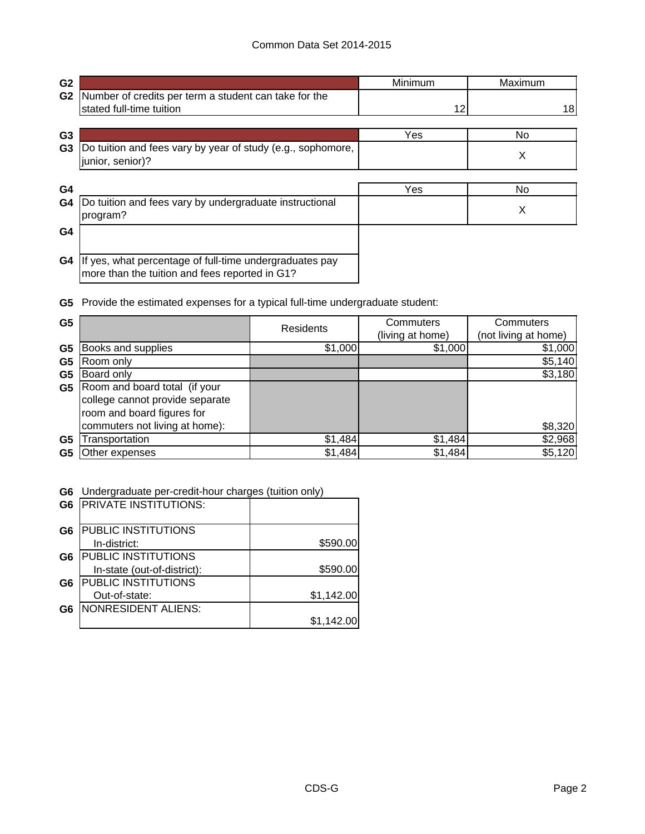| G <sub>2</sub> |                                                                                                           | Minimum | Maximum |
|----------------|-----------------------------------------------------------------------------------------------------------|---------|---------|
| G <sub>2</sub> | Number of credits per term a student can take for the                                                     |         |         |
|                | stated full-time tuition                                                                                  | 12      | 18      |
| G <sub>3</sub> |                                                                                                           | Yes     | No.     |
| G <sub>3</sub> | Do tuition and fees vary by year of study (e.g., sophomore,<br>junior, senior)?                           |         | X       |
| G <sub>4</sub> |                                                                                                           | Yes     | No.     |
| G4             | Do tuition and fees vary by undergraduate instructional<br>program?                                       |         | X       |
| G <sub>4</sub> |                                                                                                           |         |         |
| G4             | If yes, what percentage of full-time undergraduates pay<br>more than the tuition and fees reported in G1? |         |         |

**G5** Provide the estimated expenses for a typical full-time undergraduate student:

| G <sub>5</sub> |                                 | Residents | Commuters        | Commuters            |
|----------------|---------------------------------|-----------|------------------|----------------------|
|                |                                 |           | (living at home) | (not living at home) |
| G <sub>5</sub> | Books and supplies              | \$1,000   | \$1,000          | \$1,000              |
| G <sub>5</sub> | Room only                       |           |                  | \$5,140              |
| G5             | Board only                      |           |                  | \$3,180              |
| G5             | Room and board total (if your   |           |                  |                      |
|                | college cannot provide separate |           |                  |                      |
|                | room and board figures for      |           |                  |                      |
|                | commuters not living at home):  |           |                  | \$8,320              |
| G5             | Transportation                  | \$1,484   | \$1,484          | \$2,968              |
| G5             | Other expenses                  | \$1,484   | \$1,484          | \$5,120              |

**G6** Undergraduate per-credit-hour charges (tuition only)

| G <sub>6</sub> | <b>PRIVATE INSTITUTIONS:</b> |            |
|----------------|------------------------------|------------|
| G6             | <b>PUBLIC INSTITUTIONS</b>   |            |
|                | In-district:                 | \$590.00   |
| G6             | <b>PUBLIC INSTITUTIONS</b>   |            |
|                | In-state (out-of-district):  | \$590.00   |
| G <sub>6</sub> | <b>PUBLIC INSTITUTIONS</b>   |            |
|                | Out-of-state:                | \$1,142.00 |
| G6             | NONRESIDENT ALIENS:          |            |
|                |                              | \$1,142.00 |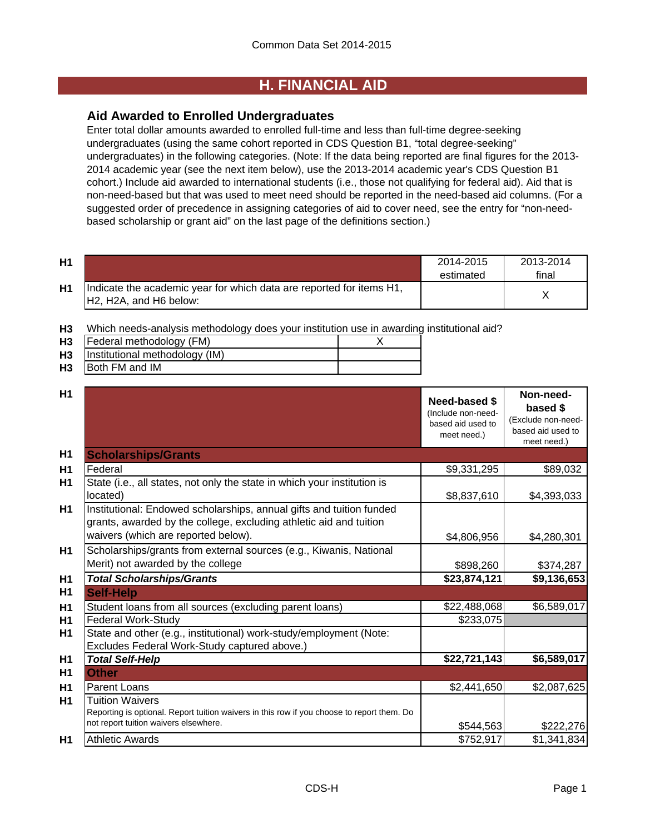## **H. FINANCIAL AID**

## **Aid Awarded to Enrolled Undergraduates**

Enter total dollar amounts awarded to enrolled full-time and less than full-time degree-seeking undergraduates (using the same cohort reported in CDS Question B1, "total degree-seeking" undergraduates) in the following categories. (Note: If the data being reported are final figures for the 2013- 2014 academic year (see the next item below), use the 2013-2014 academic year's CDS Question B1 cohort.) Include aid awarded to international students (i.e., those not qualifying for federal aid). Aid that is non-need-based but that was used to meet need should be reported in the need-based aid columns. (For a suggested order of precedence in assigning categories of aid to cover need, see the entry for "non-needbased scholarship or grant aid" on the last page of the definitions section.)

| H1 |                                                                                                                                      | 2014-2015<br>estimated | 2013-2014<br>final |
|----|--------------------------------------------------------------------------------------------------------------------------------------|------------------------|--------------------|
| H1 | Indicate the academic year for which data are reported for items H1,<br>H <sub>2</sub> , H <sub>2</sub> A, and H <sub>6</sub> below: |                        |                    |

**H3** Which needs-analysis methodology does your institution use in awarding institutional aid?

| H <sub>3</sub> | Federal methodology (FM)       |  |
|----------------|--------------------------------|--|
| H <sub>3</sub> | Institutional methodology (IM) |  |
| H <sub>3</sub> | Both FM and IM                 |  |

| H1             |                                                                                                                                                                                   | <b>Need-based \$</b><br>(Include non-need-<br>based aid used to<br>meet need.) | Non-need-<br>based \$<br>(Exclude non-need-<br>based aid used to<br>meet need.) |
|----------------|-----------------------------------------------------------------------------------------------------------------------------------------------------------------------------------|--------------------------------------------------------------------------------|---------------------------------------------------------------------------------|
| H1             | <b>Scholarships/Grants</b>                                                                                                                                                        |                                                                                |                                                                                 |
| H1             | Federal                                                                                                                                                                           | \$9,331,295                                                                    | \$89,032                                                                        |
| H1             | State (i.e., all states, not only the state in which your institution is<br>located)                                                                                              | \$8,837,610                                                                    | \$4,393,033                                                                     |
| H1             | Institutional: Endowed scholarships, annual gifts and tuition funded<br>grants, awarded by the college, excluding athletic aid and tuition<br>waivers (which are reported below). | \$4,806,956                                                                    | \$4,280,301                                                                     |
| H <sub>1</sub> | Scholarships/grants from external sources (e.g., Kiwanis, National<br>Merit) not awarded by the college                                                                           | \$898,260                                                                      | \$374,287                                                                       |
| H1             | <b>Total Scholarships/Grants</b>                                                                                                                                                  | \$23,874,121                                                                   | \$9,136,653                                                                     |
| H <sub>1</sub> | <b>Self-Help</b>                                                                                                                                                                  |                                                                                |                                                                                 |
| H1             | Student loans from all sources (excluding parent loans)                                                                                                                           | \$22,488,068                                                                   | \$6,589,017                                                                     |
| H1             | <b>Federal Work-Study</b>                                                                                                                                                         | \$233,075                                                                      |                                                                                 |
| H <sub>1</sub> | State and other (e.g., institutional) work-study/employment (Note:<br>Excludes Federal Work-Study captured above.)                                                                |                                                                                |                                                                                 |
| H <sub>1</sub> | <b>Total Self-Help</b>                                                                                                                                                            | \$22,721,143                                                                   | \$6,589,017                                                                     |
| H <sub>1</sub> | <b>Other</b>                                                                                                                                                                      |                                                                                |                                                                                 |
| H1             | <b>Parent Loans</b>                                                                                                                                                               | \$2,441,650                                                                    | \$2,087,625                                                                     |
| <b>H1</b>      | <b>Tuition Waivers</b><br>Reporting is optional. Report tuition waivers in this row if you choose to report them. Do<br>not report tuition waivers elsewhere.                     | \$544,563                                                                      | \$222,276                                                                       |
| H1             | <b>Athletic Awards</b>                                                                                                                                                            | \$752,917                                                                      | \$1,341,834                                                                     |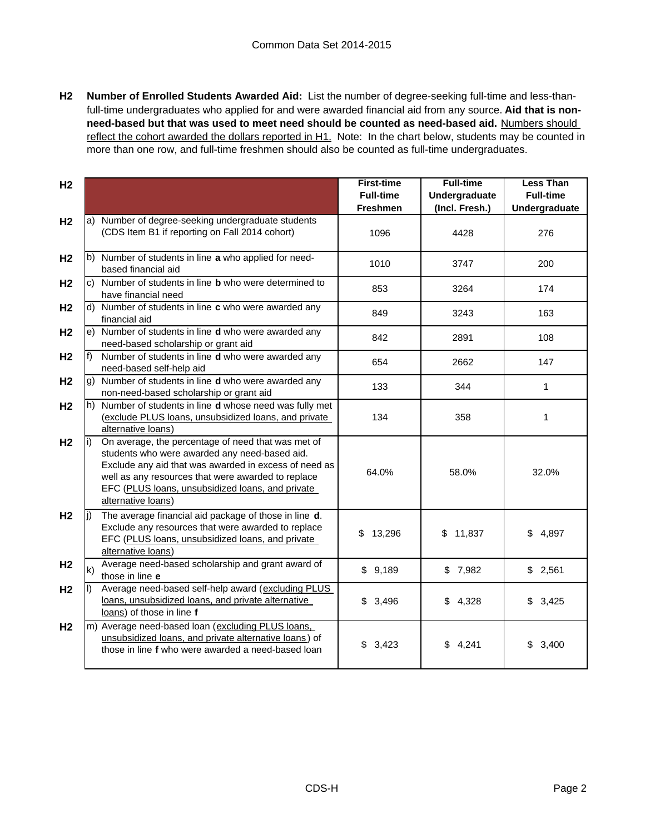**H2 Number of Enrolled Students Awarded Aid:** List the number of degree-seeking full-time and less-thanfull-time undergraduates who applied for and were awarded financial aid from any source. **Aid that is nonneed-based but that was used to meet need should be counted as need-based aid.** Numbers should reflect the cohort awarded the dollars reported in H1. Note: In the chart below, students may be counted in more than one row, and full-time freshmen should also be counted as full-time undergraduates.

| H <sub>2</sub> |       |                                                                                                                                                                                                                                                                                              | <b>First-time</b><br><b>Full-time</b><br>Freshmen | <b>Full-time</b><br>Undergraduate<br>(Incl. Fresh.) | <b>Less Than</b><br><b>Full-time</b><br>Undergraduate |
|----------------|-------|----------------------------------------------------------------------------------------------------------------------------------------------------------------------------------------------------------------------------------------------------------------------------------------------|---------------------------------------------------|-----------------------------------------------------|-------------------------------------------------------|
| H <sub>2</sub> |       | a) Number of degree-seeking undergraduate students<br>(CDS Item B1 if reporting on Fall 2014 cohort)                                                                                                                                                                                         | 1096                                              | 4428                                                | 276                                                   |
| H <sub>2</sub> |       | b) Number of students in line a who applied for need-<br>based financial aid                                                                                                                                                                                                                 | 1010                                              | 3747                                                | 200                                                   |
| H <sub>2</sub> |       | c) Number of students in line <b>b</b> who were determined to<br>have financial need                                                                                                                                                                                                         | 853                                               | 3264                                                | 174                                                   |
| H <sub>2</sub> |       | d) Number of students in line c who were awarded any<br>financial aid                                                                                                                                                                                                                        | 849                                               | 3243                                                | 163                                                   |
| H <sub>2</sub> |       | e) Number of students in line d who were awarded any<br>need-based scholarship or grant aid                                                                                                                                                                                                  | 842                                               | 2891                                                | 108                                                   |
| H <sub>2</sub> | $f$ ) | Number of students in line d who were awarded any<br>need-based self-help aid                                                                                                                                                                                                                | 654                                               | 2662                                                | 147                                                   |
| H <sub>2</sub> |       | g) Number of students in line <b>d</b> who were awarded any<br>non-need-based scholarship or grant aid                                                                                                                                                                                       | 133                                               | 344                                                 | $\mathbf{1}$                                          |
| H <sub>2</sub> |       | h) Number of students in line d whose need was fully met<br>(exclude PLUS loans, unsubsidized loans, and private<br>alternative loans)                                                                                                                                                       | 134                                               | 358                                                 | 1                                                     |
| H <sub>2</sub> |       | On average, the percentage of need that was met of<br>students who were awarded any need-based aid.<br>Exclude any aid that was awarded in excess of need as<br>well as any resources that were awarded to replace<br>EFC (PLUS loans, unsubsidized loans, and private<br>alternative loans) | 64.0%                                             | 58.0%                                               | 32.0%                                                 |
| H <sub>2</sub> | li)   | The average financial aid package of those in line d.<br>Exclude any resources that were awarded to replace<br>EFC (PLUS loans, unsubsidized loans, and private<br>alternative loans)                                                                                                        | \$<br>13,296                                      | \$11,837                                            | \$4,897                                               |
| H <sub>2</sub> | k)    | Average need-based scholarship and grant award of<br>those in line e                                                                                                                                                                                                                         | \$9,189                                           | \$7,982                                             | \$2,561                                               |
| H <sub>2</sub> | II)   | Average need-based self-help award (excluding PLUS<br>loans, unsubsidized loans, and private alternative<br>loans) of those in line f                                                                                                                                                        | \$3,496                                           | \$4,328                                             | \$3,425                                               |
| H <sub>2</sub> |       | m) Average need-based loan (excluding PLUS loans,<br>unsubsidized loans, and private alternative loans) of<br>those in line f who were awarded a need-based loan                                                                                                                             | \$3,423                                           | \$4,241                                             | \$<br>3,400                                           |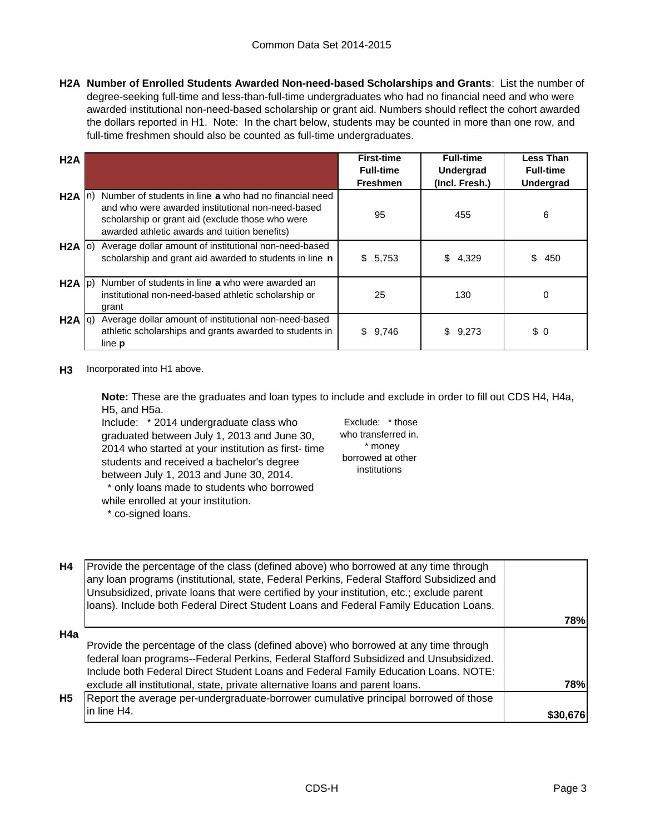**H2A Number of Enrolled Students Awarded Non-need-based Scholarships and Grants**: List the number of degree-seeking full-time and less-than-full-time undergraduates who had no financial need and who were awarded institutional non-need-based scholarship or grant aid. Numbers should reflect the cohort awarded the dollars reported in H1. Note: In the chart below, students may be counted in more than one row, and full-time freshmen should also be counted as full-time undergraduates.

| H2A               |                                                                                                                                                                                                                  | <b>First-time</b><br><b>Full-time</b> | <b>Full-time</b><br><b>Undergrad</b> | <b>Less Than</b><br><b>Full-time</b> |
|-------------------|------------------------------------------------------------------------------------------------------------------------------------------------------------------------------------------------------------------|---------------------------------------|--------------------------------------|--------------------------------------|
|                   |                                                                                                                                                                                                                  | <b>Freshmen</b>                       | (Incl. Fresh.)                       | Undergrad                            |
| $H2A \ln$         | Number of students in line a who had no financial need<br>and who were awarded institutional non-need-based<br>scholarship or grant aid (exclude those who were<br>awarded athletic awards and tuition benefits) | 95                                    | 455                                  | 6                                    |
| $H2A$ (0)         | Average dollar amount of institutional non-need-based<br>scholarship and grant aid awarded to students in line n                                                                                                 | \$5,753                               | 4,329<br>\$                          | \$<br>450                            |
| $H2A$ $ p\rangle$ | Number of students in line a who were awarded an<br>institutional non-need-based athletic scholarship or<br>grant                                                                                                | 25                                    | 130                                  | $\Omega$                             |
| $H2A  q\rangle$   | Average dollar amount of institutional non-need-based<br>athletic scholarships and grants awarded to students in<br>line <b>p</b>                                                                                | 9,746<br>\$                           | 9,273<br>\$                          | \$0                                  |

**H3** Incorporated into H1 above.

**Note:** These are the graduates and loan types to include and exclude in order to fill out CDS H4, H4a, H5, and H5a.

Include: \* 2014 undergraduate class who graduated between July 1, 2013 and June 30, 2014 who started at your institution as first- time students and received a bachelor's degree between July 1, 2013 and June 30, 2014. \* only loans made to students who borrowed while enrolled at your institution.

\* co-signed loans.

Exclude: \* those who transferred in. \* money borrowed at other institutions

| H4        | Provide the percentage of the class (defined above) who borrowed at any time through<br>any loan programs (institutional, state, Federal Perkins, Federal Stafford Subsidized and<br>Unsubsidized, private loans that were certified by your institution, etc.; exclude parent<br>loans). Include both Federal Direct Student Loans and Federal Family Education Loans. |          |
|-----------|-------------------------------------------------------------------------------------------------------------------------------------------------------------------------------------------------------------------------------------------------------------------------------------------------------------------------------------------------------------------------|----------|
|           |                                                                                                                                                                                                                                                                                                                                                                         | 78%      |
| H4a       |                                                                                                                                                                                                                                                                                                                                                                         |          |
|           | Provide the percentage of the class (defined above) who borrowed at any time through                                                                                                                                                                                                                                                                                    |          |
|           | federal loan programs--Federal Perkins, Federal Stafford Subsidized and Unsubsidized.                                                                                                                                                                                                                                                                                   |          |
|           | Include both Federal Direct Student Loans and Federal Family Education Loans. NOTE:                                                                                                                                                                                                                                                                                     |          |
|           | exclude all institutional, state, private alternative loans and parent loans.                                                                                                                                                                                                                                                                                           | 78%      |
| <b>H5</b> | Report the average per-undergraduate-borrower cumulative principal borrowed of those                                                                                                                                                                                                                                                                                    |          |
|           | in line H4.                                                                                                                                                                                                                                                                                                                                                             | \$30,676 |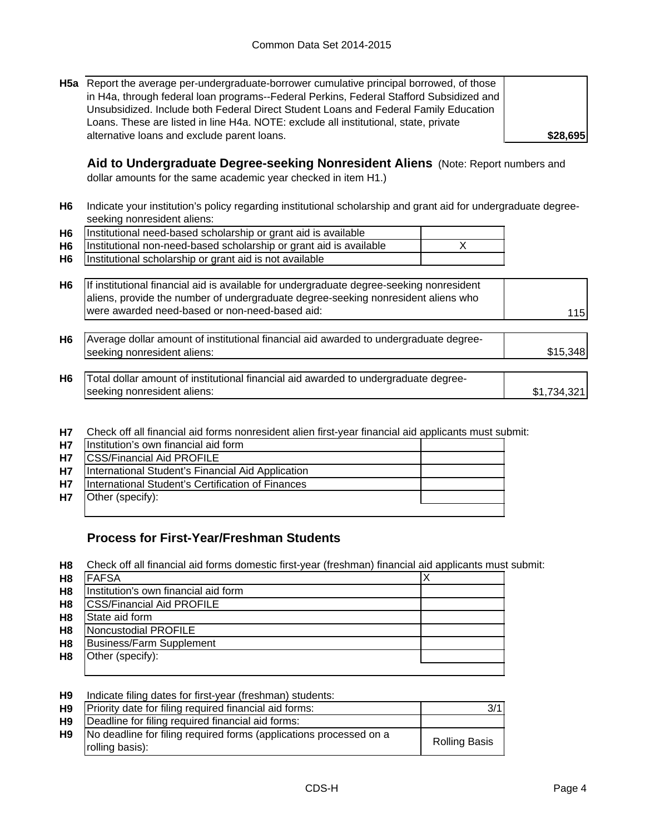**H5a** Report the average per-undergraduate-borrower cumulative principal borrowed, of those in H4a, through federal loan programs--Federal Perkins, Federal Stafford Subsidized and Unsubsidized. Include both Federal Direct Student Loans and Federal Family Education Loans. These are listed in line H4a. NOTE: exclude all institutional, state, private alternative loans and exclude parent loans.

**Aid to Undergraduate Degree-seeking Nonresident Aliens** (Note: Report numbers and

dollar amounts for the same academic year checked in item H1.)

**H6** Indicate your institution's policy regarding institutional scholarship and grant aid for undergraduate degreeseeking nonresident aliens:

| H6   Institutional need-based scholarship or grant aid is available     |  |
|-------------------------------------------------------------------------|--|
| H6   Institutional non-need-based scholarship or grant aid is available |  |
| H6   Institutional scholarship or grant aid is not available            |  |

| H6 If institutional financial aid is available for undergraduate degree-seeking nonresident |     |
|---------------------------------------------------------------------------------------------|-----|
| aliens, provide the number of undergraduate degree-seeking nonresident aliens who           |     |
| were awarded need-based or non-need-based aid:                                              | 115 |

| H <sub>6</sub> | Average dollar amount of institutional financial aid awarded to undergraduate degree- |  |
|----------------|---------------------------------------------------------------------------------------|--|
|                | seeking nonresident aliens:                                                           |  |
|                |                                                                                       |  |

| H6 | Total dollar amount of institutional financial aid awarded to undergraduate degree- |             |
|----|-------------------------------------------------------------------------------------|-------------|
|    | seeking nonresident aliens:                                                         | \$1.734.321 |

**H7** Check off all financial aid forms nonresident alien first-year financial aid applicants must submit:

| <b>H7</b> | Institution's own financial aid form              |  |
|-----------|---------------------------------------------------|--|
| <b>H7</b> | <b>ICSS/Financial Aid PROFILE</b>                 |  |
| <b>H7</b> | International Student's Financial Aid Application |  |
| <b>H7</b> | International Student's Certification of Finances |  |
| <b>H7</b> | Other (specify):                                  |  |
|           |                                                   |  |

## **Process for First-Year/Freshman Students**

**H8** Check off all financial aid forms domestic first-year (freshman) financial aid applicants must submit:

| H <sub>8</sub> | <b>FAFSA</b>                         |  |
|----------------|--------------------------------------|--|
| H <sub>8</sub> | Institution's own financial aid form |  |
| H <sub>8</sub> | <b>CSS/Financial Aid PROFILE</b>     |  |
| H <sub>8</sub> | State aid form                       |  |
| H <sub>8</sub> | Noncustodial PROFILE                 |  |
| H <sub>8</sub> | <b>Business/Farm Supplement</b>      |  |
| H <sub>8</sub> | Other (specify):                     |  |
|                |                                      |  |

| H <sub>9</sub> | Indicate filing dates for first-year (freshman) students:                             |                      |
|----------------|---------------------------------------------------------------------------------------|----------------------|
| H9             | Priority date for filing required financial aid forms:                                | 3/1                  |
| H9             | Deadline for filing required financial aid forms:                                     |                      |
| H9             | No deadline for filing required forms (applications processed on a<br>rolling basis): | <b>Rolling Basis</b> |

**\$28,695**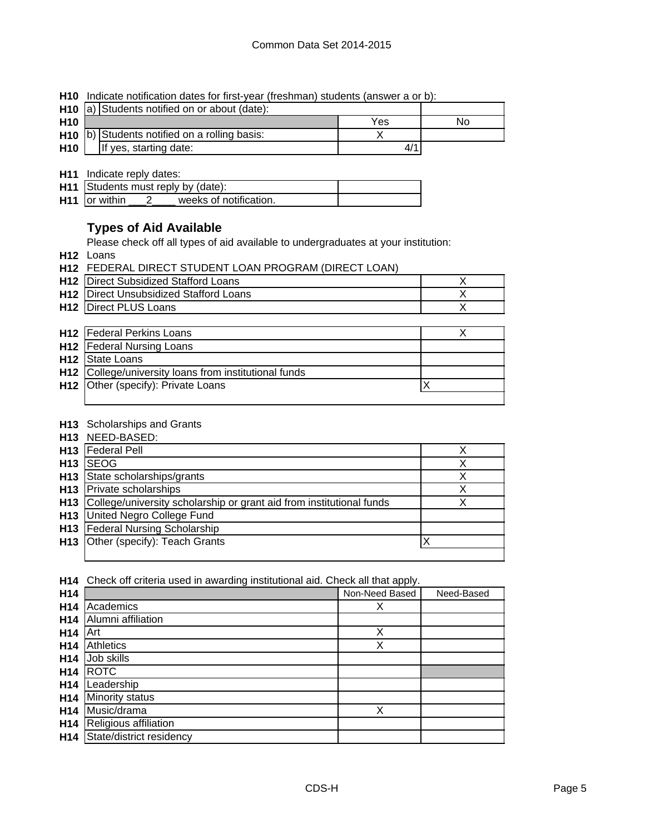| H10 Indicate notification dates for first-year (freshman) students (answer a or b): |  |  |  |
|-------------------------------------------------------------------------------------|--|--|--|
|                                                                                     |  |  |  |

|                 | <b>H10</b> $\vert a \rangle$ Students notified on or about (date): |  |     |    |
|-----------------|--------------------------------------------------------------------|--|-----|----|
| H <sub>10</sub> |                                                                    |  | Yes | No |
|                 | H <sub>10</sub> (b) Students notified on a rolling basis:          |  |     |    |
| <b>H10</b>      | If yes, starting date:                                             |  | 4/1 |    |

**H11** Indicate reply dates:

| H11 Students must reply by (date): |  |                        |  |
|------------------------------------|--|------------------------|--|
| H <sub>11</sub> or within          |  | weeks of notification. |  |

## **Types of Aid Available**

Please check off all types of aid available to undergraduates at your institution:

**H12** Loans

|  | <b>H12 FEDERAL DIRECT STUDENT LOAN PROGRAM (DIRECT LOAN)</b> |  |
|--|--------------------------------------------------------------|--|
|--|--------------------------------------------------------------|--|

| <b>H12</b> Direct Subsidized Stafford Loans   |  |
|-----------------------------------------------|--|
| <b>H12</b> Direct Unsubsidized Stafford Loans |  |
| <b>H12 Direct PLUS Loans</b>                  |  |

| <b>H12</b> Federal Perkins Loans                      |  |
|-------------------------------------------------------|--|
| <b>H12</b>   Federal Nursing Loans                    |  |
| H <sub>12</sub> State Loans                           |  |
| H12 College/university loans from institutional funds |  |
| H12 Other (specify): Private Loans                    |  |
|                                                       |  |

### **H13** Scholarships and Grants

|                 | H13 NEED-BASED:                                                      |  |
|-----------------|----------------------------------------------------------------------|--|
|                 | H <sub>13</sub>   Federal Pell                                       |  |
| H <sub>13</sub> | <b>ISEOG</b>                                                         |  |
|                 | <b>H13</b> State scholarships/grants                                 |  |
|                 | <b>H13</b> Private scholarships                                      |  |
| H <sub>13</sub> | College/university scholarship or grant aid from institutional funds |  |
|                 | <b>H13</b> United Negro College Fund                                 |  |
|                 | <b>H13</b> Federal Nursing Scholarship                               |  |
|                 | H13 Other (specify): Teach Grants                                    |  |
|                 |                                                                      |  |

**H14** Check off criteria used in awarding institutional aid. Check all that apply.

| H14             |                          | Non-Need Based | Need-Based |
|-----------------|--------------------------|----------------|------------|
| H14             | Academics                | Х              |            |
| H <sub>14</sub> | Alumni affiliation       |                |            |
| H <sub>14</sub> | Art                      | Χ              |            |
| H <sub>14</sub> | <b>Athletics</b>         | Χ              |            |
| H <sub>14</sub> | Job skills               |                |            |
| H <sub>14</sub> | <b>ROTC</b>              |                |            |
| H <sub>14</sub> | Leadership               |                |            |
| H <sub>14</sub> | <b>Minority status</b>   |                |            |
| H <sub>14</sub> | Music/drama              | Χ              |            |
| H <sub>14</sub> | Religious affiliation    |                |            |
| H <sub>14</sub> | State/district residency |                |            |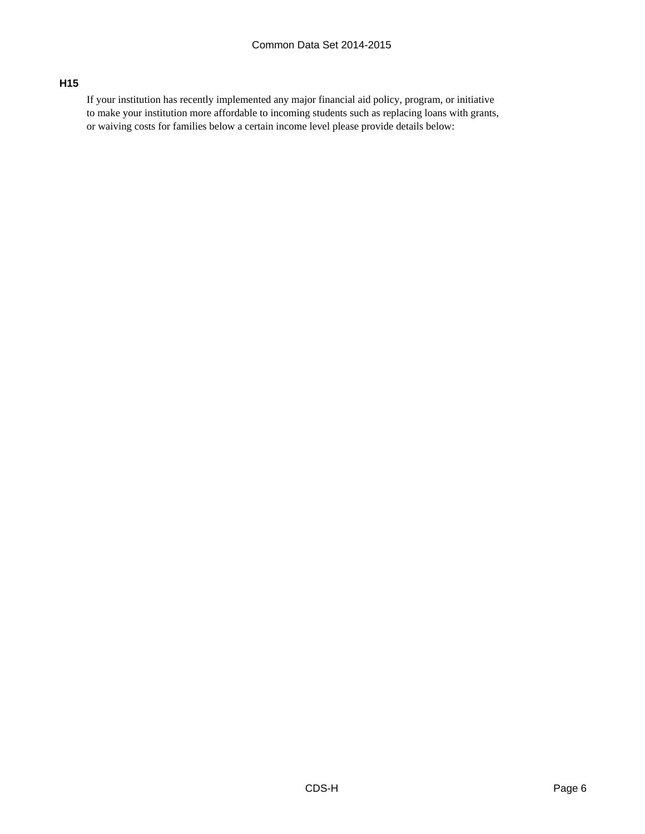## **H15**

If your institution has recently implemented any major financial aid policy, program, or initiative to make your institution more affordable to incoming students such as replacing loans with grants, or waiving costs for families below a certain income level please provide details below: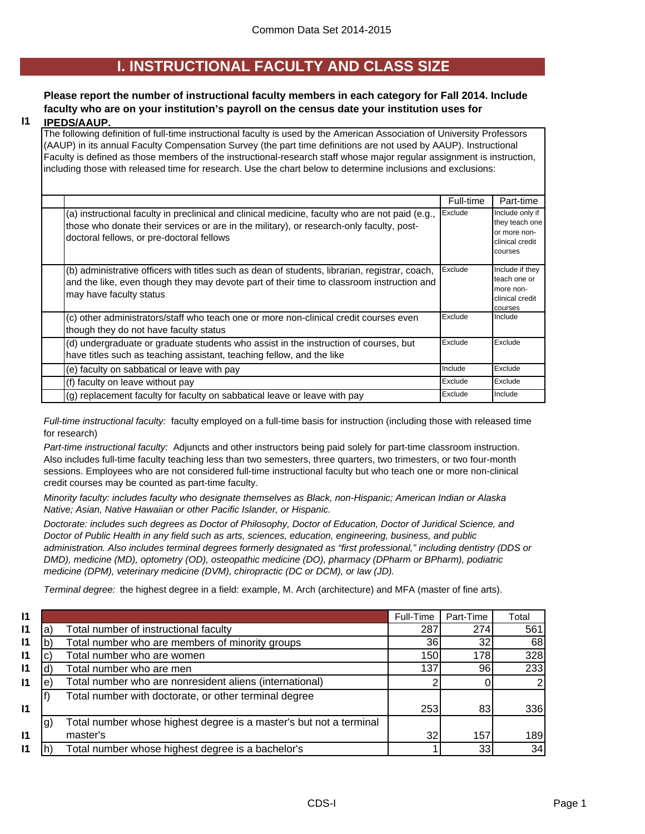## **I. INSTRUCTIONAL FACULTY AND CLASS SIZE**

## **Please report the number of instructional faculty members in each category for Fall 2014. Include faculty who are on your institution's payroll on the census date your institution uses for**

#### **I1 IPEDS/AAUP.**

The following definition of full-time instructional faculty is used by the American Association of University Professors (AAUP) in its annual Faculty Compensation Survey (the part time definitions are not used by AAUP). Instructional Faculty is defined as those members of the instructional-research staff whose major regular assignment is instruction, including those with released time for research. Use the chart below to determine inclusions and exclusions:

|                                                                                                                                                                                                                                          | Full-time | Part-time                                                                       |
|------------------------------------------------------------------------------------------------------------------------------------------------------------------------------------------------------------------------------------------|-----------|---------------------------------------------------------------------------------|
| (a) instructional faculty in preclinical and clinical medicine, faculty who are not paid (e.g.,<br>those who donate their services or are in the military), or research-only faculty, post-<br>doctoral fellows, or pre-doctoral fellows | Exclude   | Include only if<br>they teach one<br>or more non-<br>clinical credit<br>courses |
| (b) administrative officers with titles such as dean of students, librarian, registrar, coach,<br>and the like, even though they may devote part of their time to classroom instruction and<br>may have faculty status                   | Exclude   | Include if they<br>teach one or<br>more non-<br>clinical credit<br>courses      |
| (c) other administrators/staff who teach one or more non-clinical credit courses even<br>though they do not have faculty status                                                                                                          | Exclude   | Include                                                                         |
| (d) undergraduate or graduate students who assist in the instruction of courses, but<br>have titles such as teaching assistant, teaching fellow, and the like                                                                            | Exclude   | Exclude                                                                         |
| (e) faculty on sabbatical or leave with pay                                                                                                                                                                                              | Include   | Exclude                                                                         |
| (f) faculty on leave without pay                                                                                                                                                                                                         | Exclude   | Exclude                                                                         |
| (g) replacement faculty for faculty on sabbatical leave or leave with pay                                                                                                                                                                | Exclude   | Include                                                                         |

*Full-time instructional faculty:* faculty employed on a full-time basis for instruction (including those with released time for research)

*Part-time instructional faculty:* Adjuncts and other instructors being paid solely for part-time classroom instruction. Also includes full-time faculty teaching less than two semesters, three quarters, two trimesters, or two four-month sessions. Employees who are not considered full-time instructional faculty but who teach one or more non-clinical credit courses may be counted as part-time faculty.

*Minority faculty: includes faculty who designate themselves as Black, non-Hispanic; American Indian or Alaska Native; Asian, Native Hawaiian or other Pacific Islander, or Hispanic.* 

*Doctorate: includes such degrees as Doctor of Philosophy, Doctor of Education, Doctor of Juridical Science, and Doctor of Public Health in any field such as arts, sciences, education, engineering, business, and public administration. Also includes terminal degrees formerly designated as "first professional," including dentistry (DDS or DMD), medicine (MD), optometry (OD), osteopathic medicine (DO), pharmacy (DPharm or BPharm), podiatric medicine (DPM), veterinary medicine (DVM), chiropractic (DC or DCM), or law (JD).*

*Terminal degree:* the highest degree in a field: example, M. Arch (architecture) and MFA (master of fine arts).

| 11 |     |                                                                    | Full-Time | Part-Time | Total |
|----|-----|--------------------------------------------------------------------|-----------|-----------|-------|
| 11 | a   | Total number of instructional faculty                              | 287       | 274       | 561   |
| 11 |     | Total number who are members of minority groups                    | 36        | 32        | 68    |
| 11 |     | Total number who are women                                         | 150       | 178       | 328   |
| 11 |     | Total number who are men                                           | 137       | 961       | 233   |
| 11 | e   | Total number who are nonresident aliens (international)            |           |           |       |
|    |     | Total number with doctorate, or other terminal degree              |           |           |       |
| 11 |     |                                                                    | 253       | 83        | 336   |
|    | .g) | Total number whose highest degree is a master's but not a terminal |           |           |       |
| 11 |     | master's                                                           | 32        | 157       | 189   |
| 11 |     | Total number whose highest degree is a bachelor's                  |           | 33        | 34    |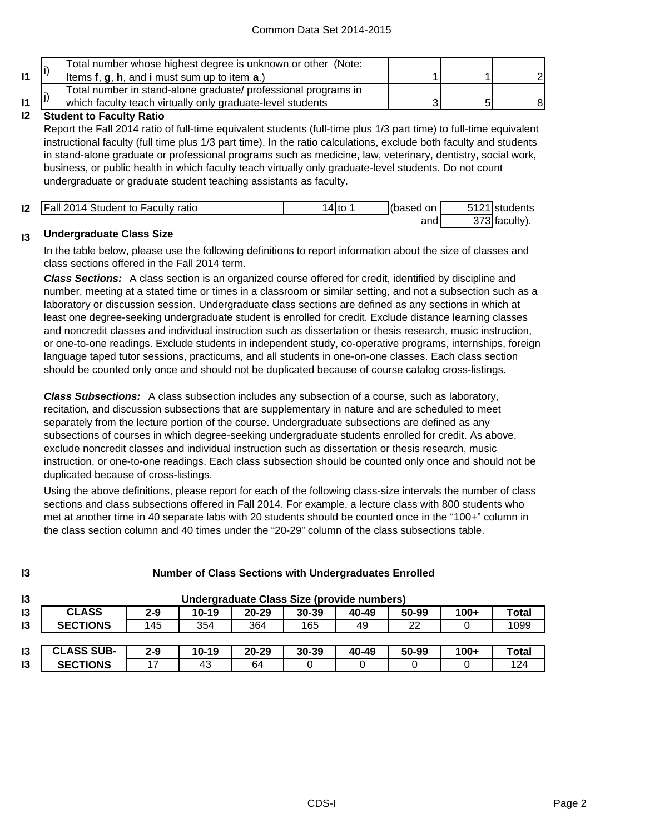|              |     | Total number whose highest degree is unknown or other (Note:<br>Items f, g, h, and i must sum up to item a.)                 |  |  |
|--------------|-----|------------------------------------------------------------------------------------------------------------------------------|--|--|
| $\mathsf{I}$ | IJ, | Total number in stand-alone graduate/ professional programs in<br>which faculty teach virtually only graduate-level students |  |  |
|              |     |                                                                                                                              |  |  |

#### **I2 Student to Faculty Ratio**

Report the Fall 2014 ratio of full-time equivalent students (full-time plus 1/3 part time) to full-time equivalent instructional faculty (full time plus 1/3 part time). In the ratio calculations, exclude both faculty and students in stand-alone graduate or professional programs such as medicine, law, veterinary, dentistry, social work, business, or public health in which faculty teach virtually only graduate-level students. Do not count undergraduate or graduate student teaching assistants as faculty.

| 12 | <b>Fall 2014 Student to Faculty ratio</b> |  | (based<br>on l | FAO4 | students |
|----|-------------------------------------------|--|----------------|------|----------|
|    |                                           |  | and            |      | …acult∨' |

#### **I3 Undergraduate Class Size**

**I3**

In the table below, please use the following definitions to report information about the size of classes and class sections offered in the Fall 2014 term.

*Class Sections:* A class section is an organized course offered for credit, identified by discipline and number, meeting at a stated time or times in a classroom or similar setting, and not a subsection such as a laboratory or discussion session. Undergraduate class sections are defined as any sections in which at least one degree-seeking undergraduate student is enrolled for credit. Exclude distance learning classes and noncredit classes and individual instruction such as dissertation or thesis research, music instruction, or one-to-one readings. Exclude students in independent study, co-operative programs, internships, foreign language taped tutor sessions, practicums, and all students in one-on-one classes. Each class section should be counted only once and should not be duplicated because of course catalog cross-listings.

*Class Subsections:* A class subsection includes any subsection of a course, such as laboratory, recitation, and discussion subsections that are supplementary in nature and are scheduled to meet separately from the lecture portion of the course. Undergraduate subsections are defined as any subsections of courses in which degree-seeking undergraduate students enrolled for credit. As above, exclude noncredit classes and individual instruction such as dissertation or thesis research, music instruction, or one-to-one readings. Each class subsection should be counted only once and should not be duplicated because of cross-listings.

Using the above definitions, please report for each of the following class-size intervals the number of class sections and class subsections offered in Fall 2014. For example, a lecture class with 800 students who met at another time in 40 separate labs with 20 students should be counted once in the "100+" column in the class section column and 40 times under the "20-29" column of the class subsections table.

| I3 | Undergraduate Class Size (provide numbers) |         |       |           |           |       |       |        |              |
|----|--------------------------------------------|---------|-------|-----------|-----------|-------|-------|--------|--------------|
| I3 | <b>CLASS</b>                               | $2 - 9$ | 10-19 | $20 - 29$ | $30 - 39$ | 40-49 | 50-99 | $100+$ | Total        |
| 13 | <b>SECTIONS</b>                            | 145     | 354   | 364       | 165       | 49    | 22    |        | 1099         |
|    |                                            |         |       |           |           |       |       |        |              |
| l3 | <b>CLASS SUB-</b>                          | $2 - 9$ | 10-19 | $20 - 29$ | 30-39     | 40-49 | 50-99 | $100+$ | <b>Total</b> |
| 13 | <b>SECTIONS</b>                            |         | 43    | 64        |           |       |       |        | 124          |

## **Number of Class Sections with Undergraduates Enrolled**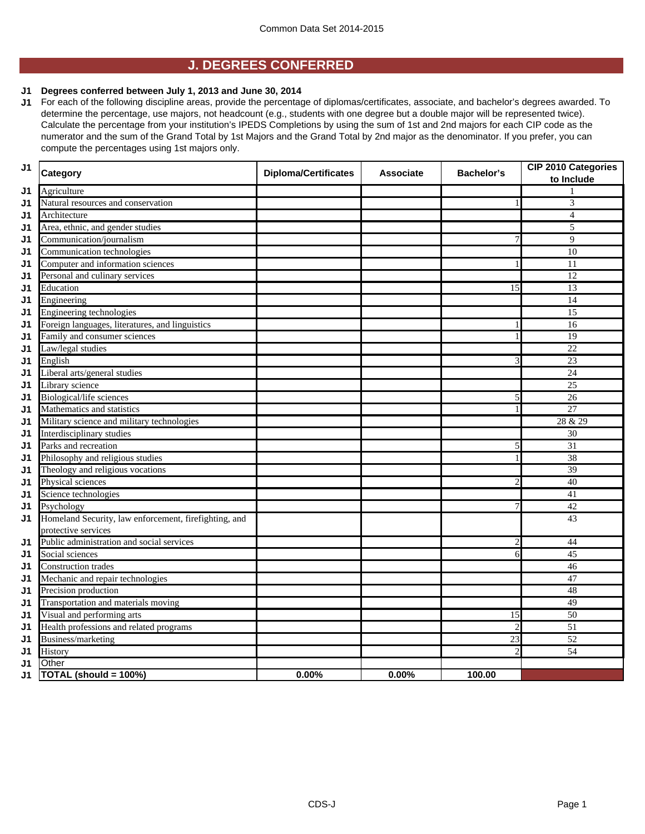## **J. DEGREES CONFERRED**

### **J1 Degrees conferred between July 1, 2013 and June 30, 2014**

**J1** For each of the following discipline areas, provide the percentage of diplomas/certificates, associate, and bachelor's degrees awarded. To determine the percentage, use majors, not headcount (e.g., students with one degree but a double major will be represented twice). Calculate the percentage from your institution's IPEDS Completions by using the sum of 1st and 2nd majors for each CIP code as the numerator and the sum of the Grand Total by 1st Majors and the Grand Total by 2nd major as the denominator. If you prefer, you can compute the percentages using 1st majors only.

| J <sub>1</sub> | <b>Category</b>                                       | <b>Diploma/Certificates</b> | <b>Associate</b> | <b>Bachelor's</b> | <b>CIP 2010 Categories</b><br>to Include |
|----------------|-------------------------------------------------------|-----------------------------|------------------|-------------------|------------------------------------------|
| J1             | Agriculture                                           |                             |                  |                   |                                          |
| J1             | Natural resources and conservation                    |                             |                  |                   | $\overline{\mathbf{3}}$                  |
| J1             | Architecture                                          |                             |                  |                   | $\overline{4}$                           |
| J1             | Area, ethnic, and gender studies                      |                             |                  |                   | 5                                        |
| J1             | Communication/journalism                              |                             |                  | 7                 | 9                                        |
| J1             | Communication technologies                            |                             |                  |                   | 10                                       |
| J1             | Computer and information sciences                     |                             |                  |                   | $\overline{11}$                          |
| J1             | Personal and culinary services                        |                             |                  |                   | $\overline{12}$                          |
| J1             | Education                                             |                             |                  | 15                | $\overline{13}$                          |
| J1             | Engineering                                           |                             |                  |                   | 14                                       |
| J <sub>1</sub> | Engineering technologies                              |                             |                  |                   | 15                                       |
| J1             | Foreign languages, literatures, and linguistics       |                             |                  |                   | 16                                       |
| J1             | Family and consumer sciences                          |                             |                  |                   | $\overline{19}$                          |
| J1             | Law/legal studies                                     |                             |                  |                   | 22                                       |
| J1             | English                                               |                             |                  | 3                 | 23                                       |
| J1             | Liberal arts/general studies                          |                             |                  |                   | $\overline{24}$                          |
| J1             | Library science                                       |                             |                  |                   | $\overline{25}$                          |
| J1             | Biological/life sciences                              |                             |                  | 5                 | $\overline{26}$                          |
| J <sub>1</sub> | Mathematics and statistics                            |                             |                  |                   | 27                                       |
| J1             | Military science and military technologies            |                             |                  |                   | 28 & 29                                  |
| J1             | Interdisciplinary studies                             |                             |                  |                   | $\overline{30}$                          |
| J1             | Parks and recreation                                  |                             |                  | 5                 | 31                                       |
| J <sub>1</sub> | Philosophy and religious studies                      |                             |                  |                   | 38                                       |
| J1             | Theology and religious vocations                      |                             |                  |                   | 39                                       |
| J1             | Physical sciences                                     |                             |                  | 2                 | 40                                       |
| J1             | Science technologies                                  |                             |                  |                   | 41                                       |
| J1             | Psychology                                            |                             |                  | 7                 | 42                                       |
| J <sub>1</sub> | Homeland Security, law enforcement, firefighting, and |                             |                  |                   | 43                                       |
|                | protective services                                   |                             |                  |                   |                                          |
| J1             | Public administration and social services             |                             |                  | $\overline{2}$    | 44                                       |
| J1             | Social sciences                                       |                             |                  | 6                 | $\overline{45}$                          |
| J1             | <b>Construction</b> trades                            |                             |                  |                   | 46                                       |
| J1             | Mechanic and repair technologies                      |                             |                  |                   | 47                                       |
| J1             | Precision production                                  |                             |                  |                   | 48                                       |
| J1             | Transportation and materials moving                   |                             |                  |                   | 49                                       |
| J1             | Visual and performing arts                            |                             |                  | 15                | $\overline{50}$                          |
| J1             | Health professions and related programs               |                             |                  | $\overline{2}$    | $\overline{51}$                          |
| J1             | Business/marketing                                    |                             |                  | 23                | $\overline{52}$                          |
| J1             | History                                               |                             |                  | $\overline{2}$    | $\overline{54}$                          |
| J1             | Other                                                 |                             |                  |                   |                                          |
| J1             | TOTAL (should = 100%)                                 | 0.00%                       | $0.00\%$         | 100.00            |                                          |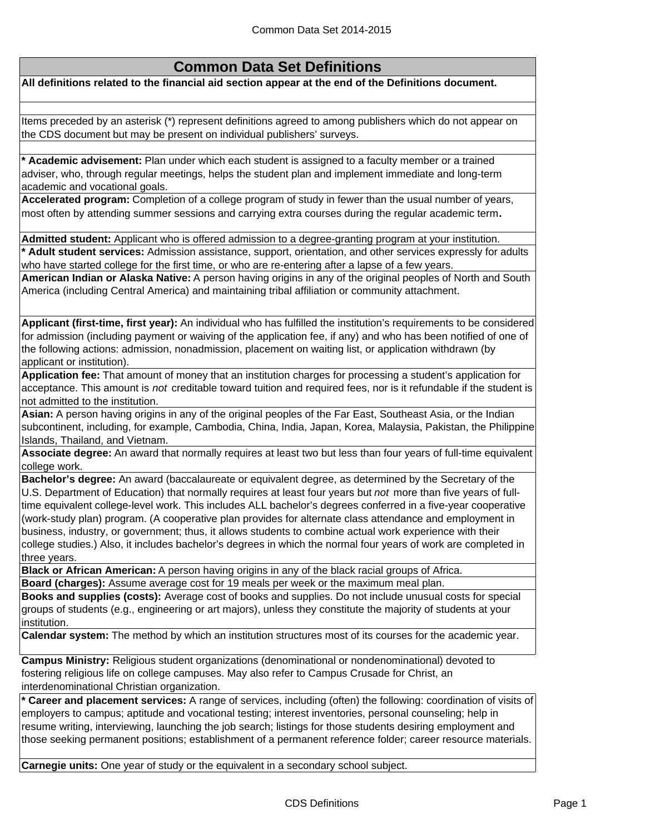## **Common Data Set Definitions**

**All definitions related to the financial aid section appear at the end of the Definitions document.**

Items preceded by an asterisk (\*) represent definitions agreed to among publishers which do not appear on the CDS document but may be present on individual publishers' surveys.

**\* Academic advisement:** Plan under which each student is assigned to a faculty member or a trained adviser, who, through regular meetings, helps the student plan and implement immediate and long-term academic and vocational goals.

**Accelerated program:** Completion of a college program of study in fewer than the usual number of years, most often by attending summer sessions and carrying extra courses during the regular academic term**.**

**Admitted student:** Applicant who is offered admission to a degree-granting program at your institution. **\* Adult student services:** Admission assistance, support, orientation, and other services expressly for adults who have started college for the first time, or who are re-entering after a lapse of a few years.

**American Indian or Alaska Native:** A person having origins in any of the original peoples of North and South America (including Central America) and maintaining tribal affiliation or community attachment.

**Applicant (first-time, first year):** An individual who has fulfilled the institution's requirements to be considered for admission (including payment or waiving of the application fee, if any) and who has been notified of one of the following actions: admission, nonadmission, placement on waiting list, or application withdrawn (by applicant or institution).

**Application fee:** That amount of money that an institution charges for processing a student's application for acceptance. This amount is *not* creditable toward tuition and required fees, nor is it refundable if the student is not admitted to the institution.

**Asian:** A person having origins in any of the original peoples of the Far East, Southeast Asia, or the Indian subcontinent, including, for example, Cambodia, China, India, Japan, Korea, Malaysia, Pakistan, the Philippine Islands, Thailand, and Vietnam.

**Associate degree:** An award that normally requires at least two but less than four years of full-time equivalent college work.

**Bachelor's degree:** An award (baccalaureate or equivalent degree, as determined by the Secretary of the U.S. Department of Education) that normally requires at least four years but *not* more than five years of fulltime equivalent college-level work. This includes ALL bachelor's degrees conferred in a five-year cooperative (work-study plan) program. (A cooperative plan provides for alternate class attendance and employment in business, industry, or government; thus, it allows students to combine actual work experience with their college studies.) Also, it includes bachelor's degrees in which the normal four years of work are completed in three years.

**Black or African American:** A person having origins in any of the black racial groups of Africa. **Board (charges):** Assume average cost for 19 meals per week or the maximum meal plan.

**Books and supplies (costs):** Average cost of books and supplies. Do not include unusual costs for special groups of students (e.g., engineering or art majors), unless they constitute the majority of students at your institution.

**Calendar system:** The method by which an institution structures most of its courses for the academic year.

**Campus Ministry:** Religious student organizations (denominational or nondenominational) devoted to fostering religious life on college campuses. May also refer to Campus Crusade for Christ, an interdenominational Christian organization.

**\* Career and placement services:** A range of services, including (often) the following: coordination of visits of employers to campus; aptitude and vocational testing; interest inventories, personal counseling; help in resume writing, interviewing, launching the job search; listings for those students desiring employment and those seeking permanent positions; establishment of a permanent reference folder; career resource materials.

**Carnegie units:** One year of study or the equivalent in a secondary school subject.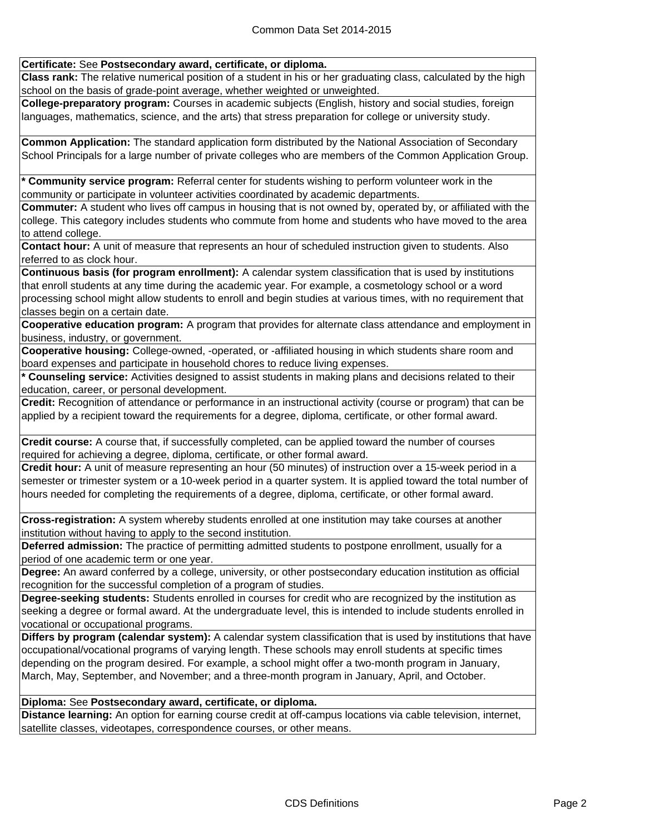## **Certificate:** See **Postsecondary award, certificate, or diploma.**

**Class rank:** The relative numerical position of a student in his or her graduating class, calculated by the high school on the basis of grade-point average, whether weighted or unweighted.

**College-preparatory program:** Courses in academic subjects (English, history and social studies, foreign languages, mathematics, science, and the arts) that stress preparation for college or university study.

**Common Application:** The standard application form distributed by the National Association of Secondary School Principals for a large number of private colleges who are members of the Common Application Group.

**\* Community service program:** Referral center for students wishing to perform volunteer work in the community or participate in volunteer activities coordinated by academic departments.

**Commuter:** A student who lives off campus in housing that is not owned by, operated by, or affiliated with the college. This category includes students who commute from home and students who have moved to the area to attend college.

**Contact hour:** A unit of measure that represents an hour of scheduled instruction given to students. Also referred to as clock hour.

**Continuous basis (for program enrollment):** A calendar system classification that is used by institutions that enroll students at any time during the academic year. For example, a cosmetology school or a word processing school might allow students to enroll and begin studies at various times, with no requirement that classes begin on a certain date.

**Cooperative education program:** A program that provides for alternate class attendance and employment in business, industry, or government.

**Cooperative housing:** College-owned, -operated, or -affiliated housing in which students share room and board expenses and participate in household chores to reduce living expenses.

**\* Counseling service:** Activities designed to assist students in making plans and decisions related to their education, career, or personal development.

**Credit:** Recognition of attendance or performance in an instructional activity (course or program) that can be applied by a recipient toward the requirements for a degree, diploma, certificate, or other formal award.

**Credit course:** A course that, if successfully completed, can be applied toward the number of courses required for achieving a degree, diploma, certificate, or other formal award.

**Credit hour:** A unit of measure representing an hour (50 minutes) of instruction over a 15-week period in a semester or trimester system or a 10-week period in a quarter system. It is applied toward the total number of hours needed for completing the requirements of a degree, diploma, certificate, or other formal award.

**Cross-registration:** A system whereby students enrolled at one institution may take courses at another institution without having to apply to the second institution.

**Deferred admission:** The practice of permitting admitted students to postpone enrollment, usually for a period of one academic term or one year.

**Degree:** An award conferred by a college, university, or other postsecondary education institution as official recognition for the successful completion of a program of studies.

**Degree-seeking students:** Students enrolled in courses for credit who are recognized by the institution as seeking a degree or formal award. At the undergraduate level, this is intended to include students enrolled in vocational or occupational programs.

**Differs by program (calendar system):** A calendar system classification that is used by institutions that have occupational/vocational programs of varying length. These schools may enroll students at specific times depending on the program desired. For example, a school might offer a two-month program in January, March, May, September, and November; and a three-month program in January, April, and October.

## **Diploma:** See **Postsecondary award, certificate, or diploma.**

**Distance learning:** An option for earning course credit at off-campus locations via cable television, internet, satellite classes, videotapes, correspondence courses, or other means.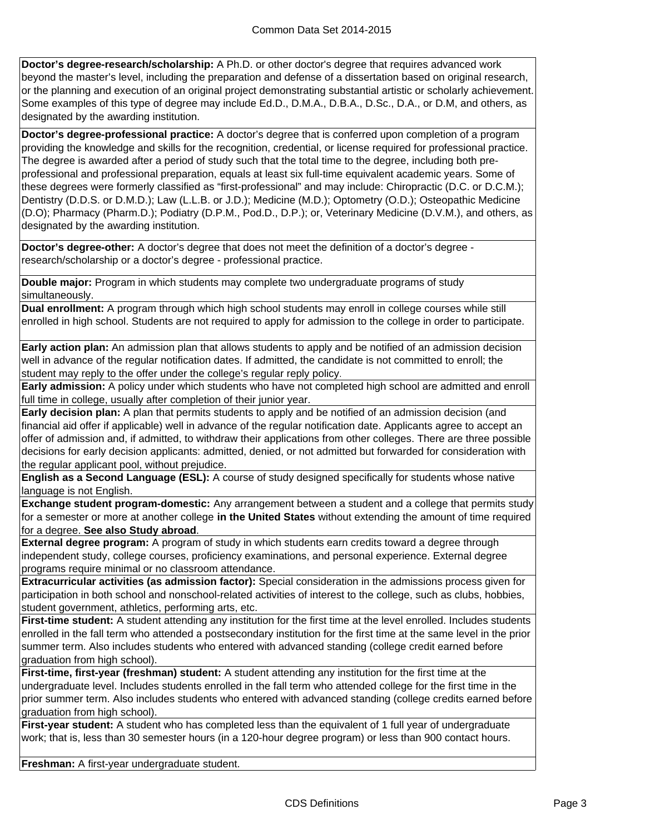**Doctor's degree-research/scholarship:** A Ph.D. or other doctor's degree that requires advanced work beyond the master's level, including the preparation and defense of a dissertation based on original research, or the planning and execution of an original project demonstrating substantial artistic or scholarly achievement. Some examples of this type of degree may include Ed.D., D.M.A., D.B.A., D.Sc., D.A., or D.M, and others, as designated by the awarding institution.

**Doctor's degree-professional practice:** A doctor's degree that is conferred upon completion of a program providing the knowledge and skills for the recognition, credential, or license required for professional practice. The degree is awarded after a period of study such that the total time to the degree, including both preprofessional and professional preparation, equals at least six full-time equivalent academic years. Some of these degrees were formerly classified as "first-professional" and may include: Chiropractic (D.C. or D.C.M.); Dentistry (D.D.S. or D.M.D.); Law (L.L.B. or J.D.); Medicine (M.D.); Optometry (O.D.); Osteopathic Medicine (D.O); Pharmacy (Pharm.D.); Podiatry (D.P.M., Pod.D., D.P.); or, Veterinary Medicine (D.V.M.), and others, as designated by the awarding institution.

**Doctor's degree-other:** A doctor's degree that does not meet the definition of a doctor's degree research/scholarship or a doctor's degree - professional practice.

**Double major:** Program in which students may complete two undergraduate programs of study simultaneously.

**Dual enrollment:** A program through which high school students may enroll in college courses while still enrolled in high school. Students are not required to apply for admission to the college in order to participate.

**Early action plan:** An admission plan that allows students to apply and be notified of an admission decision well in advance of the regular notification dates. If admitted, the candidate is not committed to enroll; the student may reply to the offer under the college's regular reply policy.

**Early admission:** A policy under which students who have not completed high school are admitted and enroll full time in college, usually after completion of their junior year.

**Early decision plan:** A plan that permits students to apply and be notified of an admission decision (and financial aid offer if applicable) well in advance of the regular notification date. Applicants agree to accept an offer of admission and, if admitted, to withdraw their applications from other colleges. There are three possible decisions for early decision applicants: admitted, denied, or not admitted but forwarded for consideration with the regular applicant pool, without prejudice.

**English as a Second Language (ESL):** A course of study designed specifically for students whose native language is not English.

**Exchange student program-domestic:** Any arrangement between a student and a college that permits study for a semester or more at another college **in the United States** without extending the amount of time required for a degree. **See also Study abroad**.

**External degree program:** A program of study in which students earn credits toward a degree through independent study, college courses, proficiency examinations, and personal experience. External degree programs require minimal or no classroom attendance.

**Extracurricular activities (as admission factor):** Special consideration in the admissions process given for participation in both school and nonschool-related activities of interest to the college, such as clubs, hobbies, student government, athletics, performing arts, etc.

**First-time student:** A student attending any institution for the first time at the level enrolled. Includes students enrolled in the fall term who attended a postsecondary institution for the first time at the same level in the prior summer term. Also includes students who entered with advanced standing (college credit earned before graduation from high school).

**First-time, first-year (freshman) student:** A student attending any institution for the first time at the undergraduate level. Includes students enrolled in the fall term who attended college for the first time in the prior summer term. Also includes students who entered with advanced standing (college credits earned before graduation from high school).

First-year student: A student who has completed less than the equivalent of 1 full year of undergraduate work; that is, less than 30 semester hours (in a 120-hour degree program) or less than 900 contact hours.

**Freshman:** A first-year undergraduate student.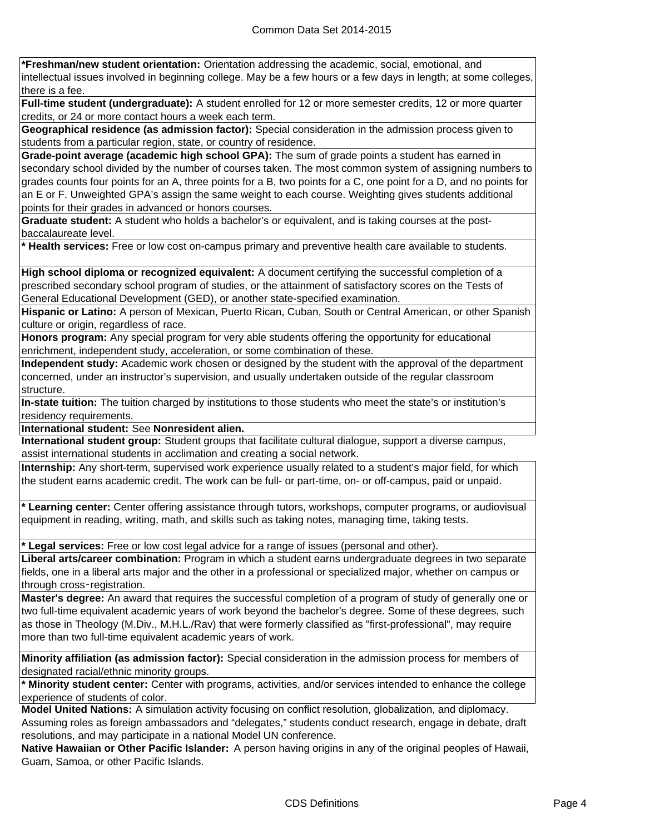**\*Freshman/new student orientation:** Orientation addressing the academic, social, emotional, and intellectual issues involved in beginning college. May be a few hours or a few days in length; at some colleges, there is a fee.

**Full-time student (undergraduate):** A student enrolled for 12 or more semester credits, 12 or more quarter credits, or 24 or more contact hours a week each term.

**Geographical residence (as admission factor):** Special consideration in the admission process given to students from a particular region, state, or country of residence.

**Grade-point average (academic high school GPA):** The sum of grade points a student has earned in secondary school divided by the number of courses taken. The most common system of assigning numbers to grades counts four points for an A, three points for a B, two points for a C, one point for a D, and no points for an E or F. Unweighted GPA's assign the same weight to each course. Weighting gives students additional points for their grades in advanced or honors courses.

**Graduate student:** A student who holds a bachelor's or equivalent, and is taking courses at the postbaccalaureate level.

**\* Health services:** Free or low cost on-campus primary and preventive health care available to students.

**High school diploma or recognized equivalent:** A document certifying the successful completion of a prescribed secondary school program of studies, or the attainment of satisfactory scores on the Tests of General Educational Development (GED), or another state-specified examination.

**Hispanic or Latino:** A person of Mexican, Puerto Rican, Cuban, South or Central American, or other Spanish culture or origin, regardless of race.

**Honors program:** Any special program for very able students offering the opportunity for educational enrichment, independent study, acceleration, or some combination of these.

**Independent study:** Academic work chosen or designed by the student with the approval of the department concerned, under an instructor's supervision, and usually undertaken outside of the regular classroom structure.

**In-state tuition:** The tuition charged by institutions to those students who meet the state's or institution's residency requirements.

**International student:** See **Nonresident alien.**

**International student group:** Student groups that facilitate cultural dialogue, support a diverse campus, assist international students in acclimation and creating a social network.

**Internship:** Any short-term, supervised work experience usually related to a student's major field, for which the student earns academic credit. The work can be full- or part-time, on- or off-campus, paid or unpaid.

**\* Learning center:** Center offering assistance through tutors, workshops, computer programs, or audiovisual equipment in reading, writing, math, and skills such as taking notes, managing time, taking tests.

**\* Legal services:** Free or low cost legal advice for a range of issues (personal and other).

**Liberal arts/career combination:** Program in which a student earns undergraduate degrees in two separate fields, one in a liberal arts major and the other in a professional or specialized major, whether on campus or through cross‑registration.

**Master's degree:** An award that requires the successful completion of a program of study of generally one or two full-time equivalent academic years of work beyond the bachelor's degree. Some of these degrees, such as those in Theology (M.Div., M.H.L./Rav) that were formerly classified as "first-professional", may require more than two full-time equivalent academic years of work.

**Minority affiliation (as admission factor):** Special consideration in the admission process for members of designated racial/ethnic minority groups.

**\* Minority student center:** Center with programs, activities, and/or services intended to enhance the college experience of students of color.

**Model United Nations:** A simulation activity focusing on conflict resolution, globalization, and diplomacy. Assuming roles as foreign ambassadors and "delegates," students conduct research, engage in debate, draft resolutions, and may participate in a national Model UN conference.

**Native Hawaiian or Other Pacific Islander:** A person having origins in any of the original peoples of Hawaii, Guam, Samoa, or other Pacific Islands.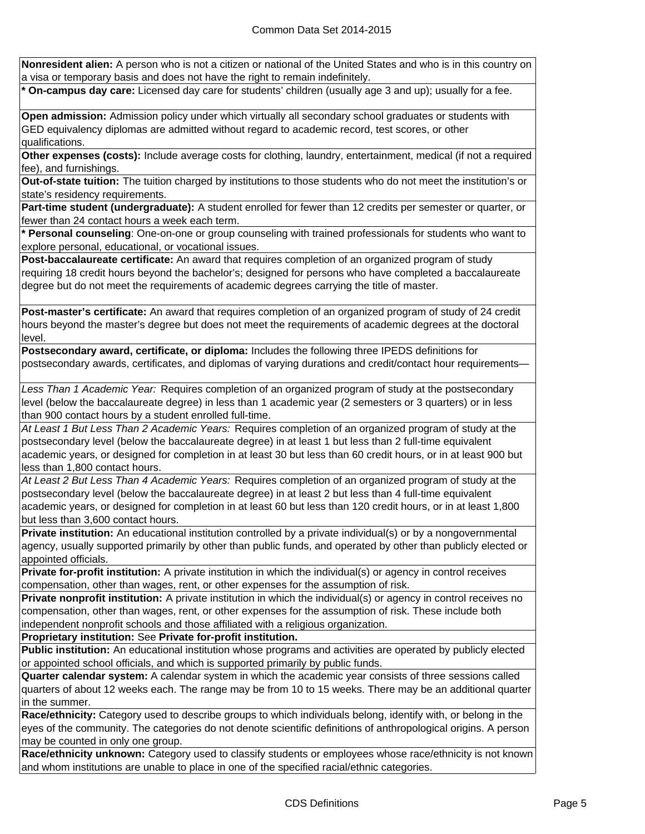**Nonresident alien:** A person who is not a citizen or national of the United States and who is in this country on a visa or temporary basis and does not have the right to remain indefinitely.

**\* On-campus day care:** Licensed day care for students' children (usually age 3 and up); usually for a fee.

**Open admission:** Admission policy under which virtually all secondary school graduates or students with GED equivalency diplomas are admitted without regard to academic record, test scores, or other qualifications.

**Other expenses (costs):** Include average costs for clothing, laundry, entertainment, medical (if not a required fee), and furnishings.

**Out-of-state tuition:** The tuition charged by institutions to those students who do not meet the institution's or state's residency requirements.

**Part-time student (undergraduate):** A student enrolled for fewer than 12 credits per semester or quarter, or fewer than 24 contact hours a week each term.

**\* Personal counseling**: One-on-one or group counseling with trained professionals for students who want to explore personal, educational, or vocational issues.

**Post-baccalaureate certificate:** An award that requires completion of an organized program of study requiring 18 credit hours beyond the bachelor's; designed for persons who have completed a baccalaureate degree but do not meet the requirements of academic degrees carrying the title of master.

**Post-master's certificate:** An award that requires completion of an organized program of study of 24 credit hours beyond the master's degree but does not meet the requirements of academic degrees at the doctoral level.

**Postsecondary award, certificate, or diploma:** Includes the following three IPEDS definitions for postsecondary awards, certificates, and diplomas of varying durations and credit/contact hour requirements—

*Less Than 1 Academic Year:* Requires completion of an organized program of study at the postsecondary level (below the baccalaureate degree) in less than 1 academic year (2 semesters or 3 quarters) or in less than 900 contact hours by a student enrolled full-time.

*At Least 1 But Less Than 2 Academic Years:* Requires completion of an organized program of study at the postsecondary level (below the baccalaureate degree) in at least 1 but less than 2 full-time equivalent academic years, or designed for completion in at least 30 but less than 60 credit hours, or in at least 900 but less than 1,800 contact hours.

*At Least 2 But Less Than 4 Academic Years:* Requires completion of an organized program of study at the postsecondary level (below the baccalaureate degree) in at least 2 but less than 4 full-time equivalent academic years, or designed for completion in at least 60 but less than 120 credit hours, or in at least 1,800 but less than 3,600 contact hours.

**Private institution:** An educational institution controlled by a private individual(s) or by a nongovernmental agency, usually supported primarily by other than public funds, and operated by other than publicly elected or appointed officials.

**Private for-profit institution:** A private institution in which the individual(s) or agency in control receives compensation, other than wages, rent, or other expenses for the assumption of risk.

**Private nonprofit institution:** A private institution in which the individual(s) or agency in control receives no compensation, other than wages, rent, or other expenses for the assumption of risk. These include both independent nonprofit schools and those affiliated with a religious organization.

**Proprietary institution:** See **Private for-profit institution.**

**Public institution:** An educational institution whose programs and activities are operated by publicly elected or appointed school officials, and which is supported primarily by public funds.

**Quarter calendar system:** A calendar system in which the academic year consists of three sessions called quarters of about 12 weeks each. The range may be from 10 to 15 weeks. There may be an additional quarter in the summer.

**Race/ethnicity:** Category used to describe groups to which individuals belong, identify with, or belong in the eyes of the community. The categories do not denote scientific definitions of anthropological origins. A person may be counted in only one group.

**Race/ethnicity unknown:** Category used to classify students or employees whose race/ethnicity is not known and whom institutions are unable to place in one of the specified racial/ethnic categories.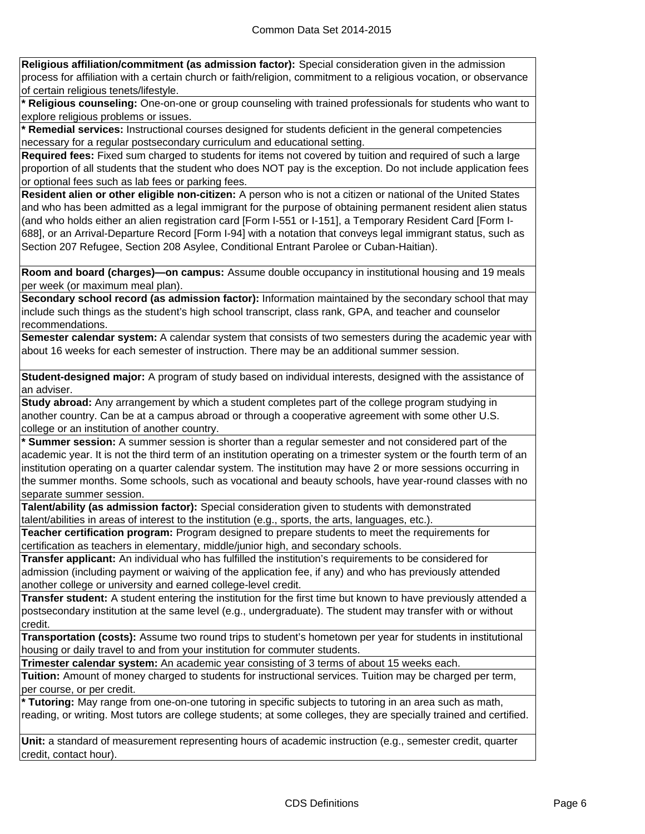**Religious affiliation/commitment (as admission factor):** Special consideration given in the admission process for affiliation with a certain church or faith/religion, commitment to a religious vocation, or observance of certain religious tenets/lifestyle.

**\* Religious counseling:** One-on-one or group counseling with trained professionals for students who want to explore religious problems or issues.

**\* Remedial services:** Instructional courses designed for students deficient in the general competencies necessary for a regular postsecondary curriculum and educational setting.

**Required fees:** Fixed sum charged to students for items not covered by tuition and required of such a large proportion of all students that the student who does NOT pay is the exception. Do not include application fees or optional fees such as lab fees or parking fees.

**Resident alien or other eligible non-citizen:** A person who is not a citizen or national of the United States and who has been admitted as a legal immigrant for the purpose of obtaining permanent resident alien status (and who holds either an alien registration card [Form I-551 or I-151], a Temporary Resident Card [Form I-688], or an Arrival-Departure Record [Form I-94] with a notation that conveys legal immigrant status, such as Section 207 Refugee, Section 208 Asylee, Conditional Entrant Parolee or Cuban-Haitian).

**Room and board (charges)—on campus:** Assume double occupancy in institutional housing and 19 meals per week (or maximum meal plan).

**Secondary school record (as admission factor):** Information maintained by the secondary school that may include such things as the student's high school transcript, class rank, GPA, and teacher and counselor recommendations.

**Semester calendar system:** A calendar system that consists of two semesters during the academic year with about 16 weeks for each semester of instruction. There may be an additional summer session.

**Student-designed major:** A program of study based on individual interests, designed with the assistance of an adviser.

**Study abroad:** Any arrangement by which a student completes part of the college program studying in another country. Can be at a campus abroad or through a cooperative agreement with some other U.S. college or an institution of another country.

**\* Summer session:** A summer session is shorter than a regular semester and not considered part of the academic year. It is not the third term of an institution operating on a trimester system or the fourth term of an institution operating on a quarter calendar system. The institution may have 2 or more sessions occurring in the summer months. Some schools, such as vocational and beauty schools, have year-round classes with no separate summer session.

**Talent/ability (as admission factor):** Special consideration given to students with demonstrated talent/abilities in areas of interest to the institution (e.g., sports, the arts, languages, etc.).

**Teacher certification program:** Program designed to prepare students to meet the requirements for certification as teachers in elementary, middle/junior high, and secondary schools.

**Transfer applicant:** An individual who has fulfilled the institution's requirements to be considered for admission (including payment or waiving of the application fee, if any) and who has previously attended another college or university and earned college-level credit.

**Transfer student:** A student entering the institution for the first time but known to have previously attended a postsecondary institution at the same level (e.g., undergraduate). The student may transfer with or without credit.

**Transportation (costs):** Assume two round trips to student's hometown per year for students in institutional housing or daily travel to and from your institution for commuter students.

**Trimester calendar system:** An academic year consisting of 3 terms of about 15 weeks each.

**Tuition:** Amount of money charged to students for instructional services. Tuition may be charged per term, per course, or per credit.

**\* Tutoring:** May range from one-on-one tutoring in specific subjects to tutoring in an area such as math, reading, or writing. Most tutors are college students; at some colleges, they are specially trained and certified.

**Unit:** a standard of measurement representing hours of academic instruction (e.g., semester credit, quarter credit, contact hour).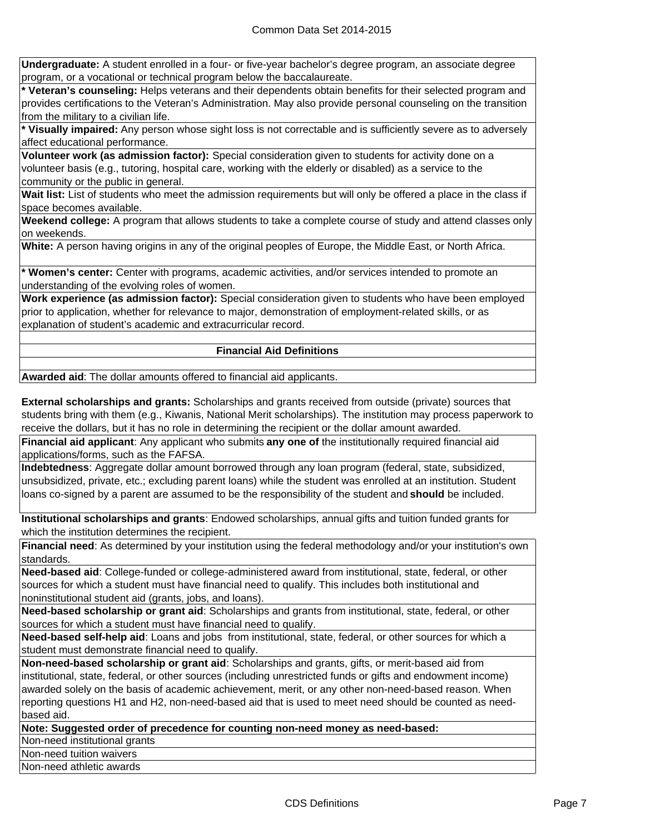**Undergraduate:** A student enrolled in a four- or five-year bachelor's degree program, an associate degree program, or a vocational or technical program below the baccalaureate.

**\* Veteran's counseling:** Helps veterans and their dependents obtain benefits for their selected program and provides certifications to the Veteran's Administration. May also provide personal counseling on the transition from the military to a civilian life.

**\* Visually impaired:** Any person whose sight loss is not correctable and is sufficiently severe as to adversely affect educational performance.

**Volunteer work (as admission factor):** Special consideration given to students for activity done on a volunteer basis (e.g., tutoring, hospital care, working with the elderly or disabled) as a service to the community or the public in general.

**Wait list:** List of students who meet the admission requirements but will only be offered a place in the class if space becomes available.

**Weekend college:** A program that allows students to take a complete course of study and attend classes only on weekends.

**White:** A person having origins in any of the original peoples of Europe, the Middle East, or North Africa.

**\* Women's center:** Center with programs, academic activities, and/or services intended to promote an understanding of the evolving roles of women.

**Work experience (as admission factor):** Special consideration given to students who have been employed prior to application, whether for relevance to major, demonstration of employment-related skills, or as explanation of student's academic and extracurricular record.

## **Financial Aid Definitions**

**Awarded aid**: The dollar amounts offered to financial aid applicants.

**External scholarships and grants:** Scholarships and grants received from outside (private) sources that students bring with them (e.g., Kiwanis, National Merit scholarships). The institution may process paperwork to receive the dollars, but it has no role in determining the recipient or the dollar amount awarded.

**Financial aid applicant**: Any applicant who submits **any one of** the institutionally required financial aid applications/forms, such as the FAFSA.

**Indebtedness**: Aggregate dollar amount borrowed through any loan program (federal, state, subsidized, unsubsidized, private, etc.; excluding parent loans) while the student was enrolled at an institution. Student loans co-signed by a parent are assumed to be the responsibility of the student and **should** be included.

**Institutional scholarships and grants**: Endowed scholarships, annual gifts and tuition funded grants for which the institution determines the recipient.

**Financial need**: As determined by your institution using the federal methodology and/or your institution's own standards.

**Need-based aid**: College-funded or college-administered award from institutional, state, federal, or other sources for which a student must have financial need to qualify. This includes both institutional and noninstitutional student aid (grants, jobs, and loans).

**Need-based scholarship or grant aid**: Scholarships and grants from institutional, state, federal, or other sources for which a student must have financial need to qualify.

**Need-based self-help aid**: Loans and jobs from institutional, state, federal, or other sources for which a student must demonstrate financial need to qualify.

**Non-need-based scholarship or grant aid**: Scholarships and grants, gifts, or merit-based aid from institutional, state, federal, or other sources (including unrestricted funds or gifts and endowment income) awarded solely on the basis of academic achievement, merit, or any other non-need-based reason. When reporting questions H1 and H2, non-need-based aid that is used to meet need should be counted as needbased aid.

**Note: Suggested order of precedence for counting non-need money as need-based:**

Non-need institutional grants

Non-need tuition waivers

Non-need athletic awards